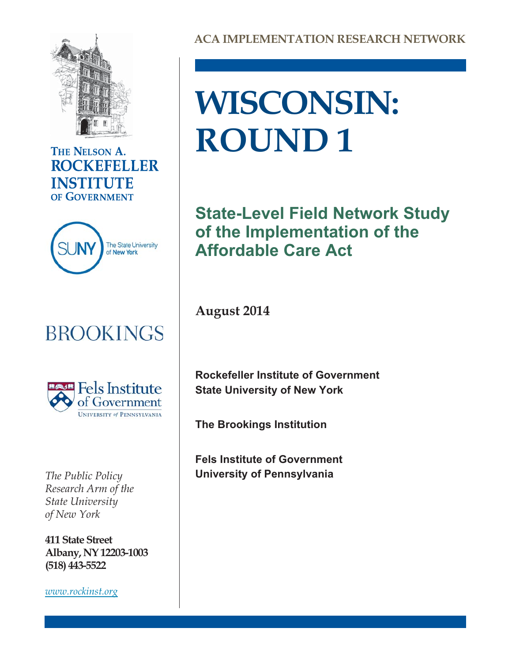

## THE NELSON A. **ROCKEFELLER INSTITUTE** OF GOVERNMENT



# **BROOKINGS**



*Research Arm of the State University of New York*

**411 State Street Albany, NY 12203-1003 (518) 443-5522**

*[www.rockinst.org](http://www.rockinst.org)*

# **WISCONSIN: ROUND 1**

**State-Level Field Network Study of the Implementation of the Affordable Care Act**

**August 2014**

**Rockefeller Institute of Government State University of New York**

**The Brookings Institution**

**Fels Institute of Government** *The Public Policy* **University of Pennsylvania**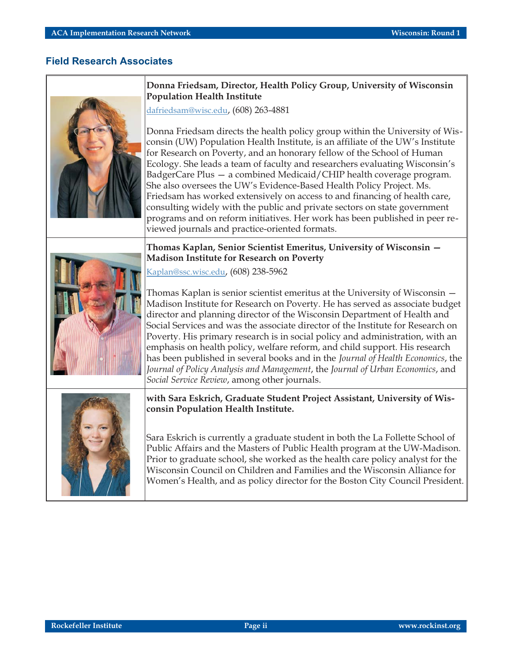٦

### **Field Research Associates**

|  | Donna Friedsam, Director, Health Policy Group, University of Wisconsin<br><b>Population Health Institute</b>                                                                                                                                                                                                                                                                                                                                                                                                                                                                                                                                                                                                                                                       |  |  |  |
|--|--------------------------------------------------------------------------------------------------------------------------------------------------------------------------------------------------------------------------------------------------------------------------------------------------------------------------------------------------------------------------------------------------------------------------------------------------------------------------------------------------------------------------------------------------------------------------------------------------------------------------------------------------------------------------------------------------------------------------------------------------------------------|--|--|--|
|  | dafriedsam@wisc.edu, (608) 263-4881                                                                                                                                                                                                                                                                                                                                                                                                                                                                                                                                                                                                                                                                                                                                |  |  |  |
|  | Donna Friedsam directs the health policy group within the University of Wis-<br>consin (UW) Population Health Institute, is an affiliate of the UW's Institute<br>for Research on Poverty, and an honorary fellow of the School of Human<br>Ecology. She leads a team of faculty and researchers evaluating Wisconsin's<br>BadgerCare Plus - a combined Medicaid/CHIP health coverage program.<br>She also oversees the UW's Evidence-Based Health Policy Project. Ms.<br>Friedsam has worked extensively on access to and financing of health care,<br>consulting widely with the public and private sectors on state government<br>programs and on reform initiatives. Her work has been published in peer re-<br>viewed journals and practice-oriented formats. |  |  |  |
|  | Thomas Kaplan, Senior Scientist Emeritus, University of Wisconsin –                                                                                                                                                                                                                                                                                                                                                                                                                                                                                                                                                                                                                                                                                                |  |  |  |
|  | <b>Madison Institute for Research on Poverty</b>                                                                                                                                                                                                                                                                                                                                                                                                                                                                                                                                                                                                                                                                                                                   |  |  |  |
|  | Kaplan@ssc.wisc.edu, (608) 238-5962                                                                                                                                                                                                                                                                                                                                                                                                                                                                                                                                                                                                                                                                                                                                |  |  |  |
|  | Thomas Kaplan is senior scientist emeritus at the University of Wisconsin –<br>Madison Institute for Research on Poverty. He has served as associate budget<br>director and planning director of the Wisconsin Department of Health and<br>Social Services and was the associate director of the Institute for Research on<br>Poverty. His primary research is in social policy and administration, with an<br>emphasis on health policy, welfare reform, and child support. His research<br>has been published in several books and in the Journal of Health Economics, the<br>Journal of Policy Analysis and Management, the Journal of Urban Economics, and<br>Social Service Review, among other journals.                                                     |  |  |  |
|  | with Sara Eskrich, Graduate Student Project Assistant, University of Wis-<br>consin Population Health Institute.                                                                                                                                                                                                                                                                                                                                                                                                                                                                                                                                                                                                                                                   |  |  |  |
|  | Sara Eskrich is currently a graduate student in both the La Follette School of<br>Public Affairs and the Masters of Public Health program at the UW-Madison.<br>Prior to graduate school, she worked as the health care policy analyst for the<br>Wisconsin Council on Children and Families and the Wisconsin Alliance for<br>Women's Health, and as policy director for the Boston City Council President.                                                                                                                                                                                                                                                                                                                                                       |  |  |  |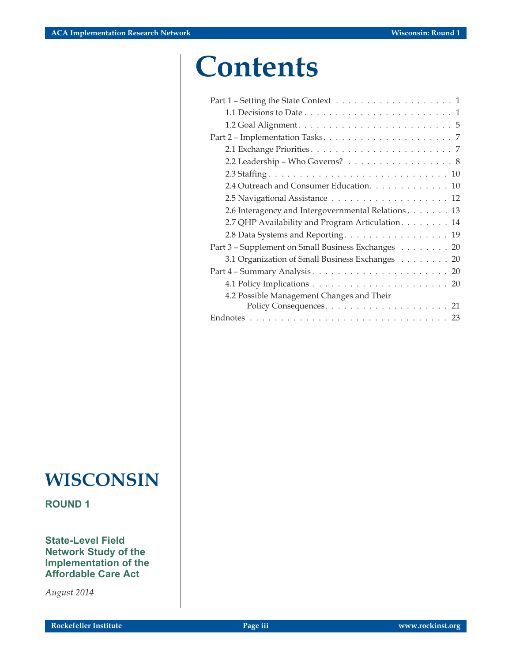# **Contents**

**WISCONSIN**

**ROUND 1**

**State-Level Field Network Study of the Implementation of the Affordable Care Act**

*August 2014*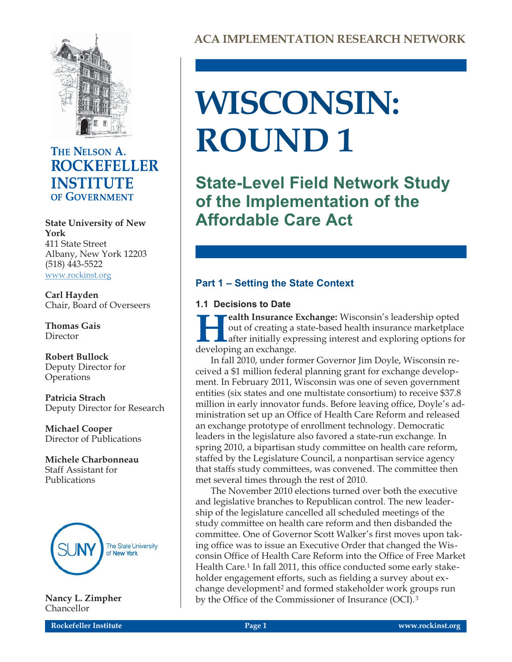

# THE NELSON A. **ROCKEFELLER INSTITUTE** OF GOVERNMENT

**York** 411 State Street Albany, New York 12203 (518) 443-5522 [www.rockinst.org](http://www.rockinst.org)

**Carl Hayden** Chair, Board of Overseers

**Thomas Gais** Director

**Robert Bullock** Deputy Director for **Operations** 

**Patricia Strach** Deputy Director for Research

**Michael Cooper** Director of Publications

**Michele Charbonneau** Staff Assistant for Publications



**Nancy L. Zimpher** Chancellor

# **WISCONSIN: ROUND 1**

**State-Level Field Network Study of the Implementation of the State University of New Affordable Care Act**

## **Part 1 – Setting the State Context**

### **1.1 Decisions to Date**

**Health Insurance Exchange:** Wisconsin's leadership opted out of creating a state-based health insurance marketplace after initially expressing interest and exploring options for developing an exchange. out of creating a state-based health insurance marketplace after initially expressing interest and exploring options for developing an exchange.

In fall 2010, under former Governor Jim Doyle, Wisconsin received a \$1 million federal planning grant for exchange development. In February 2011, Wisconsin was one of seven government entities (six states and one multistate consortium) to receive \$37.8 million in early innovator funds. Before leaving office, Doyle's administration set up an Office of Health Care Reform and released an exchange prototype of enrollment technology. Democratic leaders in the legislature also favored a state-run exchange. In spring 2010, a bipartisan study committee on health care reform, staffed by the Legislature Council, a nonpartisan service agency that staffs study committees, was convened. The committee then met several times through the rest of 2010.

The November 2010 elections turned over both the executive and legislative branches to Republican control. The new leadership of the legislature cancelled all scheduled meetings of the study committee on health care reform and then disbanded the committee. One of Governor Scott Walker's first moves upon taking office was to issue an Executive Order that changed the Wisconsin Office of Health Care Reform into the Office of Free Market Health Care.<sup>1</sup> In fall 2011, this office conducted some early stakeholder engagement efforts, such as fielding a survey about exchange development<sup>2</sup> and formed stakeholder work groups run by the Office of the Commissioner of Insurance (OCI).<sup>3</sup>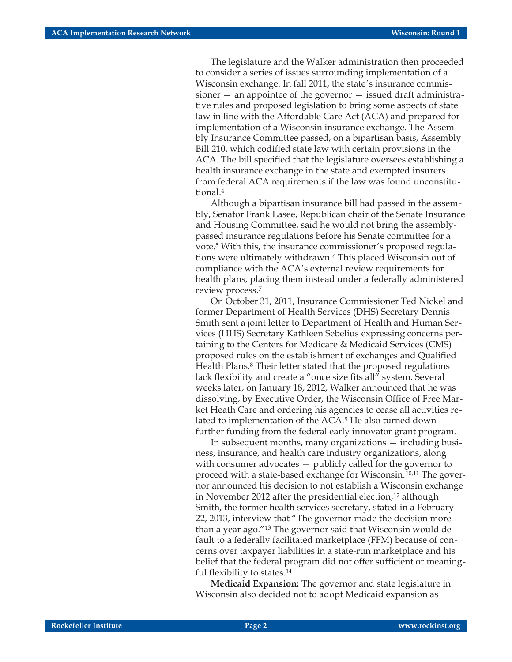The legislature and the Walker administration then proceeded to consider a series of issues surrounding implementation of a Wisconsin exchange. In fall 2011, the state's insurance commissioner — an appointee of the governor — issued draft administrative rules and proposed legislation to bring some aspects of state law in line with the Affordable Care Act (ACA) and prepared for implementation of a Wisconsin insurance exchange. The Assembly Insurance Committee passed, on a bipartisan basis, Assembly Bill 210, which codified state law with certain provisions in the ACA. The bill specified that the legislature oversees establishing a health insurance exchange in the state and exempted insurers from federal ACA requirements if the law was found unconstitutional.4

Although a bipartisan insurance bill had passed in the assembly, Senator Frank Lasee, Republican chair of the Senate Insurance and Housing Committee, said he would not bring the assemblypassed insurance regulations before his Senate committee for a vote.5 With this, the insurance commissioner's proposed regulations were ultimately withdrawn.6 This placed Wisconsin out of compliance with the ACA's external review requirements for health plans, placing them instead under a federally administered review process.7

On October 31, 2011, Insurance Commissioner Ted Nickel and former Department of Health Services (DHS) Secretary Dennis Smith sent a joint letter to Department of Health and Human Services (HHS) Secretary Kathleen Sebelius expressing concerns pertaining to the Centers for Medicare & Medicaid Services (CMS) proposed rules on the establishment of exchanges and Qualified Health Plans.8 Their letter stated that the proposed regulations lack flexibility and create a "once size fits all" system. Several weeks later, on January 18, 2012, Walker announced that he was dissolving, by Executive Order, the Wisconsin Office of Free Market Heath Care and ordering his agencies to cease all activities related to implementation of the ACA.9 He also turned down further funding from the federal early innovator grant program.

In subsequent months, many organizations — including business, insurance, and health care industry organizations, along with consumer advocates — publicly called for the governor to proceed with a state-based exchange for Wisconsin.10,11 The governor announced his decision to not establish a Wisconsin exchange in November 2012 after the presidential election,<sup>12</sup> although Smith, the former health services secretary, stated in a February 22, 2013, interview that "The governor made the decision more than a year ago."13 The governor said that Wisconsin would default to a federally facilitated marketplace (FFM) because of concerns over taxpayer liabilities in a state-run marketplace and his belief that the federal program did not offer sufficient or meaningful flexibility to states.14

**Medicaid Expansion:** The governor and state legislature in Wisconsin also decided not to adopt Medicaid expansion as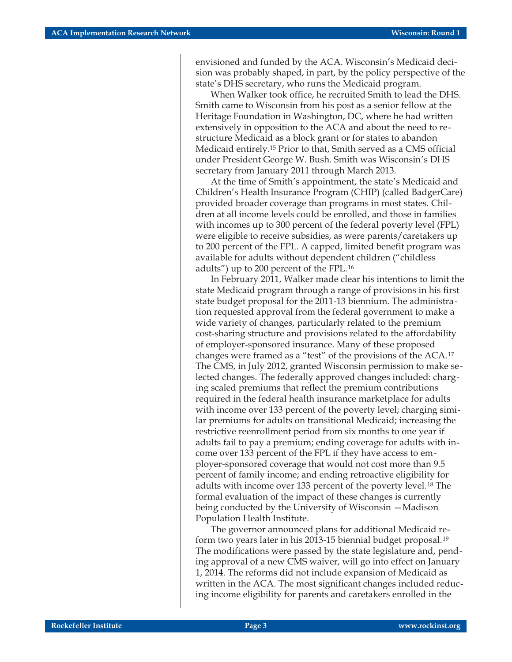envisioned and funded by the ACA. Wisconsin's Medicaid decision was probably shaped, in part, by the policy perspective of the state's DHS secretary, who runs the Medicaid program.

When Walker took office, he recruited Smith to lead the DHS. Smith came to Wisconsin from his post as a senior fellow at the Heritage Foundation in Washington, DC, where he had written extensively in opposition to the ACA and about the need to restructure Medicaid as a block grant or for states to abandon Medicaid entirely.15 Prior to that, Smith served as a CMS official under President George W. Bush. Smith was Wisconsin's DHS secretary from January 2011 through March 2013.

At the time of Smith's appointment, the state's Medicaid and Children's Health Insurance Program (CHIP) (called BadgerCare) provided broader coverage than programs in most states. Children at all income levels could be enrolled, and those in families with incomes up to 300 percent of the federal poverty level (FPL) were eligible to receive subsidies, as were parents/caretakers up to 200 percent of the FPL. A capped, limited benefit program was available for adults without dependent children ("childless adults") up to 200 percent of the FPL.16

In February 2011, Walker made clear his intentions to limit the state Medicaid program through a range of provisions in his first state budget proposal for the 2011-13 biennium. The administration requested approval from the federal government to make a wide variety of changes, particularly related to the premium cost-sharing structure and provisions related to the affordability of employer-sponsored insurance. Many of these proposed changes were framed as a "test" of the provisions of the ACA.17 The CMS, in July 2012, granted Wisconsin permission to make selected changes. The federally approved changes included: charging scaled premiums that reflect the premium contributions required in the federal health insurance marketplace for adults with income over 133 percent of the poverty level; charging similar premiums for adults on transitional Medicaid; increasing the restrictive reenrollment period from six months to one year if adults fail to pay a premium; ending coverage for adults with income over 133 percent of the FPL if they have access to employer-sponsored coverage that would not cost more than 9.5 percent of family income; and ending retroactive eligibility for adults with income over 133 percent of the poverty level.<sup>18</sup> The formal evaluation of the impact of these changes is currently being conducted by the University of Wisconsin —Madison Population Health Institute.

The governor announced plans for additional Medicaid reform two years later in his 2013-15 biennial budget proposal.19 The modifications were passed by the state legislature and, pending approval of a new CMS waiver, will go into effect on January 1, 2014. The reforms did not include expansion of Medicaid as written in the ACA. The most significant changes included reducing income eligibility for parents and caretakers enrolled in the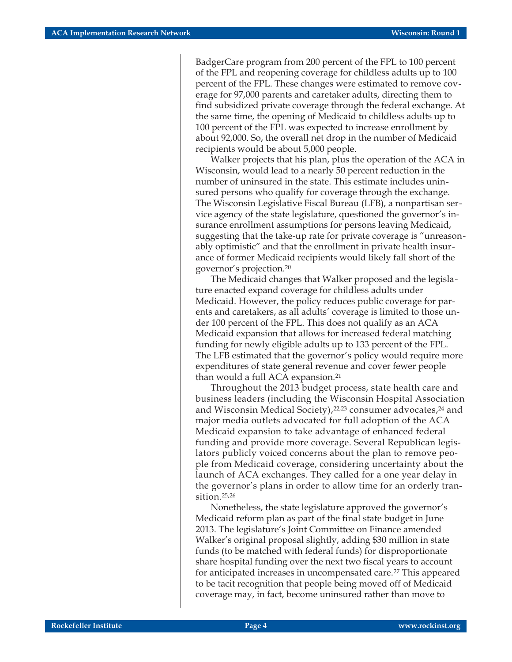BadgerCare program from 200 percent of the FPL to 100 percent of the FPL and reopening coverage for childless adults up to 100 percent of the FPL. These changes were estimated to remove coverage for 97,000 parents and caretaker adults, directing them to find subsidized private coverage through the federal exchange. At the same time, the opening of Medicaid to childless adults up to 100 percent of the FPL was expected to increase enrollment by about 92,000. So, the overall net drop in the number of Medicaid recipients would be about 5,000 people.

Walker projects that his plan, plus the operation of the ACA in Wisconsin, would lead to a nearly 50 percent reduction in the number of uninsured in the state. This estimate includes uninsured persons who qualify for coverage through the exchange. The Wisconsin Legislative Fiscal Bureau (LFB), a nonpartisan service agency of the state legislature, questioned the governor's insurance enrollment assumptions for persons leaving Medicaid, suggesting that the take-up rate for private coverage is "unreasonably optimistic" and that the enrollment in private health insurance of former Medicaid recipients would likely fall short of the governor's projection.20

The Medicaid changes that Walker proposed and the legislature enacted expand coverage for childless adults under Medicaid. However, the policy reduces public coverage for parents and caretakers, as all adults' coverage is limited to those under 100 percent of the FPL. This does not qualify as an ACA Medicaid expansion that allows for increased federal matching funding for newly eligible adults up to 133 percent of the FPL. The LFB estimated that the governor's policy would require more expenditures of state general revenue and cover fewer people than would a full ACA expansion.21

Throughout the 2013 budget process, state health care and business leaders (including the Wisconsin Hospital Association and Wisconsin Medical Society),<sup>22,23</sup> consumer advocates,<sup>24</sup> and major media outlets advocated for full adoption of the ACA Medicaid expansion to take advantage of enhanced federal funding and provide more coverage. Several Republican legislators publicly voiced concerns about the plan to remove people from Medicaid coverage, considering uncertainty about the launch of ACA exchanges. They called for a one year delay in the governor's plans in order to allow time for an orderly transition.25,26

Nonetheless, the state legislature approved the governor's Medicaid reform plan as part of the final state budget in June 2013. The legislature's Joint Committee on Finance amended Walker's original proposal slightly, adding \$30 million in state funds (to be matched with federal funds) for disproportionate share hospital funding over the next two fiscal years to account for anticipated increases in uncompensated care.27 This appeared to be tacit recognition that people being moved off of Medicaid coverage may, in fact, become uninsured rather than move to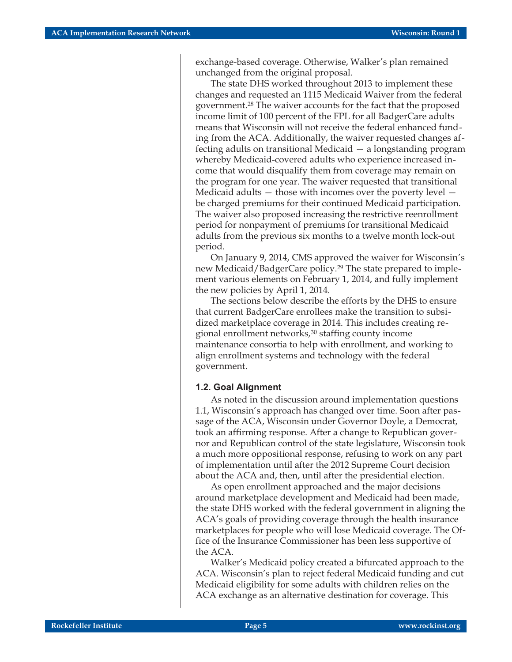exchange-based coverage. Otherwise, Walker's plan remained unchanged from the original proposal.

The state DHS worked throughout 2013 to implement these changes and requested an 1115 Medicaid Waiver from the federal government.28 The waiver accounts for the fact that the proposed income limit of 100 percent of the FPL for all BadgerCare adults means that Wisconsin will not receive the federal enhanced funding from the ACA. Additionally, the waiver requested changes affecting adults on transitional Medicaid — a longstanding program whereby Medicaid-covered adults who experience increased income that would disqualify them from coverage may remain on the program for one year. The waiver requested that transitional Medicaid adults — those with incomes over the poverty level be charged premiums for their continued Medicaid participation. The waiver also proposed increasing the restrictive reenrollment period for nonpayment of premiums for transitional Medicaid adults from the previous six months to a twelve month lock-out period.

On January 9, 2014, CMS approved the waiver for Wisconsin's new Medicaid/BadgerCare policy.29 The state prepared to implement various elements on February 1, 2014, and fully implement the new policies by April 1, 2014.

The sections below describe the efforts by the DHS to ensure that current BadgerCare enrollees make the transition to subsidized marketplace coverage in 2014. This includes creating regional enrollment networks,<sup>30</sup> staffing county income maintenance consortia to help with enrollment, and working to align enrollment systems and technology with the federal government.

#### **1.2. Goal Alignment**

As noted in the discussion around implementation questions 1.1, Wisconsin's approach has changed over time. Soon after passage of the ACA, Wisconsin under Governor Doyle, a Democrat, took an affirming response. After a change to Republican governor and Republican control of the state legislature, Wisconsin took a much more oppositional response, refusing to work on any part of implementation until after the 2012 Supreme Court decision about the ACA and, then, until after the presidential election.

As open enrollment approached and the major decisions around marketplace development and Medicaid had been made, the state DHS worked with the federal government in aligning the ACA's goals of providing coverage through the health insurance marketplaces for people who will lose Medicaid coverage. The Office of the Insurance Commissioner has been less supportive of the ACA.

Walker's Medicaid policy created a bifurcated approach to the ACA. Wisconsin's plan to reject federal Medicaid funding and cut Medicaid eligibility for some adults with children relies on the ACA exchange as an alternative destination for coverage. This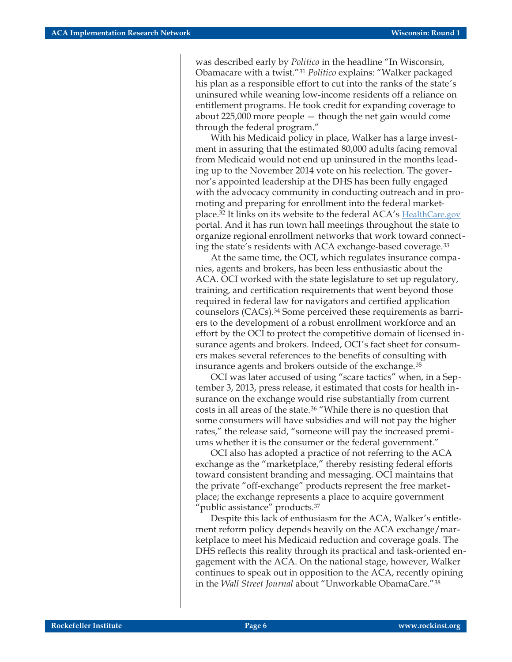was described early by *Politico* in the headline "In Wisconsin, Obamacare with a twist."31 *Politico* explains: "Walker packaged his plan as a responsible effort to cut into the ranks of the state's uninsured while weaning low-income residents off a reliance on entitlement programs. He took credit for expanding coverage to about 225,000 more people — though the net gain would come through the federal program."

With his Medicaid policy in place, Walker has a large investment in assuring that the estimated 80,000 adults facing removal from Medicaid would not end up uninsured in the months leading up to the November 2014 vote on his reelection. The governor's appointed leadership at the DHS has been fully engaged with the advocacy community in conducting outreach and in promoting and preparing for enrollment into the federal marketplace.32 It links on its website to the federal ACA's [HealthCare.gov](https://www.healthcare.gov/) portal. And it has run town hall meetings throughout the state to organize regional enrollment networks that work toward connecting the state's residents with ACA exchange-based coverage.33

At the same time, the OCI, which regulates insurance companies, agents and brokers, has been less enthusiastic about the ACA. OCI worked with the state legislature to set up regulatory, training, and certification requirements that went beyond those required in federal law for navigators and certified application counselors (CACs).34 Some perceived these requirements as barriers to the development of a robust enrollment workforce and an effort by the OCI to protect the competitive domain of licensed insurance agents and brokers. Indeed, OCI's fact sheet for consumers makes several references to the benefits of consulting with insurance agents and brokers outside of the exchange.35

OCI was later accused of using "scare tactics" when, in a September 3, 2013, press release, it estimated that costs for health insurance on the exchange would rise substantially from current costs in all areas of the state.36 "While there is no question that some consumers will have subsidies and will not pay the higher rates," the release said, "someone will pay the increased premiums whether it is the consumer or the federal government."

OCI also has adopted a practice of not referring to the ACA exchange as the "marketplace," thereby resisting federal efforts toward consistent branding and messaging. OCI maintains that the private "off-exchange" products represent the free marketplace; the exchange represents a place to acquire government "public assistance" products.37

Despite this lack of enthusiasm for the ACA, Walker's entitlement reform policy depends heavily on the ACA exchange/marketplace to meet his Medicaid reduction and coverage goals. The DHS reflects this reality through its practical and task-oriented engagement with the ACA. On the national stage, however, Walker continues to speak out in opposition to the ACA, recently opining in the *Wall Street Journal* about "Unworkable ObamaCare."38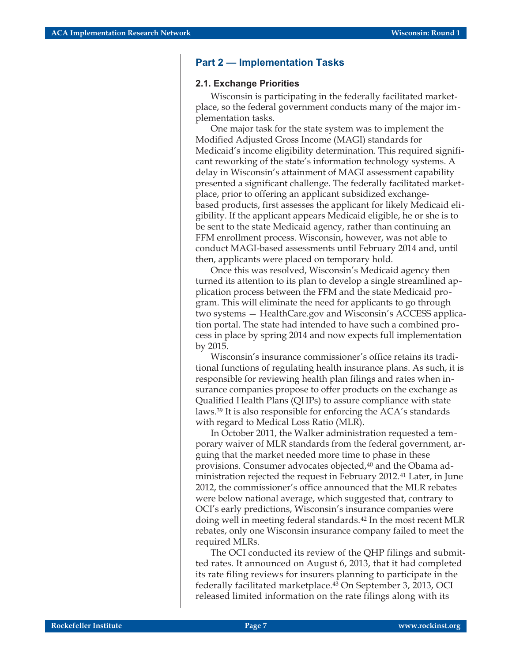#### **Part 2 — Implementation Tasks**

#### **2.1. Exchange Priorities**

Wisconsin is participating in the federally facilitated marketplace, so the federal government conducts many of the major implementation tasks.

One major task for the state system was to implement the Modified Adjusted Gross Income (MAGI) standards for Medicaid's income eligibility determination. This required significant reworking of the state's information technology systems. A delay in Wisconsin's attainment of MAGI assessment capability presented a significant challenge. The federally facilitated marketplace, prior to offering an applicant subsidized exchangebased products, first assesses the applicant for likely Medicaid eligibility. If the applicant appears Medicaid eligible, he or she is to be sent to the state Medicaid agency, rather than continuing an FFM enrollment process. Wisconsin, however, was not able to conduct MAGI-based assessments until February 2014 and, until then, applicants were placed on temporary hold.

Once this was resolved, Wisconsin's Medicaid agency then turned its attention to its plan to develop a single streamlined application process between the FFM and the state Medicaid program. This will eliminate the need for applicants to go through two systems — HealthCare.gov and Wisconsin's ACCESS application portal. The state had intended to have such a combined process in place by spring 2014 and now expects full implementation by 2015.

Wisconsin's insurance commissioner's office retains its traditional functions of regulating health insurance plans. As such, it is responsible for reviewing health plan filings and rates when insurance companies propose to offer products on the exchange as Qualified Health Plans (QHPs) to assure compliance with state laws.39 It is also responsible for enforcing the ACA's standards with regard to Medical Loss Ratio (MLR).

In October 2011, the Walker administration requested a temporary waiver of MLR standards from the federal government, arguing that the market needed more time to phase in these provisions. Consumer advocates objected,<sup>40</sup> and the Obama administration rejected the request in February 2012.41 Later, in June 2012, the commissioner's office announced that the MLR rebates were below national average, which suggested that, contrary to OCI's early predictions, Wisconsin's insurance companies were doing well in meeting federal standards.42 In the most recent MLR rebates, only one Wisconsin insurance company failed to meet the required MLRs.

The OCI conducted its review of the QHP filings and submitted rates. It announced on August 6, 2013, that it had completed its rate filing reviews for insurers planning to participate in the federally facilitated marketplace.43 On September 3, 2013, OCI released limited information on the rate filings along with its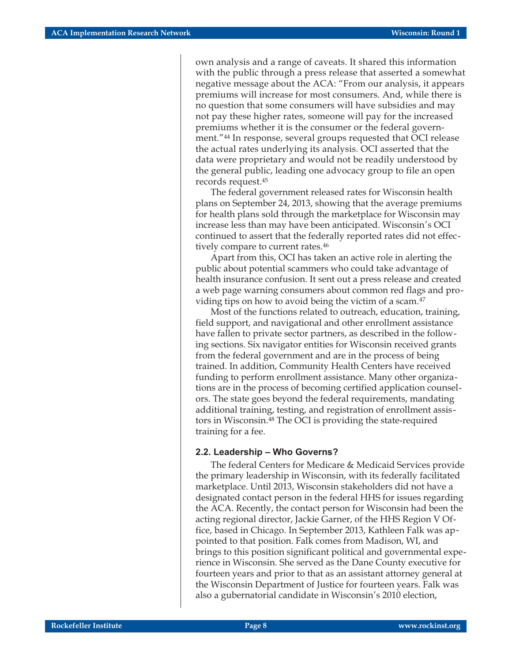own analysis and a range of caveats. It shared this information with the public through a press release that asserted a somewhat negative message about the ACA: "From our analysis, it appears premiums will increase for most consumers. And, while there is no question that some consumers will have subsidies and may not pay these higher rates, someone will pay for the increased premiums whether it is the consumer or the federal government."44 In response, several groups requested that OCI release the actual rates underlying its analysis. OCI asserted that the data were proprietary and would not be readily understood by the general public, leading one advocacy group to file an open records request.45

The federal government released rates for Wisconsin health plans on September 24, 2013, showing that the average premiums for health plans sold through the marketplace for Wisconsin may increase less than may have been anticipated. Wisconsin's OCI continued to assert that the federally reported rates did not effectively compare to current rates.<sup>46</sup>

Apart from this, OCI has taken an active role in alerting the public about potential scammers who could take advantage of health insurance confusion. It sent out a press release and created a web page warning consumers about common red flags and providing tips on how to avoid being the victim of a scam.47

Most of the functions related to outreach, education, training, field support, and navigational and other enrollment assistance have fallen to private sector partners, as described in the following sections. Six navigator entities for Wisconsin received grants from the federal government and are in the process of being trained. In addition, Community Health Centers have received funding to perform enrollment assistance. Many other organizations are in the process of becoming certified application counselors. The state goes beyond the federal requirements, mandating additional training, testing, and registration of enrollment assistors in Wisconsin.48 The OCI is providing the state-required training for a fee.

#### **2.2. Leadership – Who Governs?**

The federal Centers for Medicare & Medicaid Services provide the primary leadership in Wisconsin, with its federally facilitated marketplace. Until 2013, Wisconsin stakeholders did not have a designated contact person in the federal HHS for issues regarding the ACA. Recently, the contact person for Wisconsin had been the acting regional director, Jackie Garner, of the HHS Region V Office, based in Chicago. In September 2013, Kathleen Falk was appointed to that position. Falk comes from Madison, WI, and brings to this position significant political and governmental experience in Wisconsin. She served as the Dane County executive for fourteen years and prior to that as an assistant attorney general at the Wisconsin Department of Justice for fourteen years. Falk was also a gubernatorial candidate in Wisconsin's 2010 election,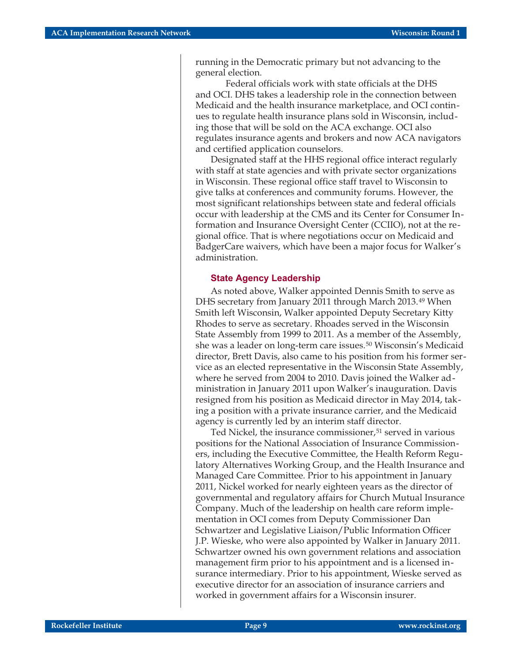running in the Democratic primary but not advancing to the general election.

Federal officials work with state officials at the DHS and OCI. DHS takes a leadership role in the connection between Medicaid and the health insurance marketplace, and OCI continues to regulate health insurance plans sold in Wisconsin, including those that will be sold on the ACA exchange. OCI also regulates insurance agents and brokers and now ACA navigators and certified application counselors.

Designated staff at the HHS regional office interact regularly with staff at state agencies and with private sector organizations in Wisconsin. These regional office staff travel to Wisconsin to give talks at conferences and community forums. However, the most significant relationships between state and federal officials occur with leadership at the CMS and its Center for Consumer Information and Insurance Oversight Center (CCIIO), not at the regional office. That is where negotiations occur on Medicaid and BadgerCare waivers, which have been a major focus for Walker's administration.

#### **State Agency Leadership**

As noted above, Walker appointed Dennis Smith to serve as DHS secretary from January 2011 through March 2013.49 When Smith left Wisconsin, Walker appointed Deputy Secretary Kitty Rhodes to serve as secretary. Rhoades served in the Wisconsin State Assembly from 1999 to 2011. As a member of the Assembly, she was a leader on long-term care issues.<sup>50</sup> Wisconsin's Medicaid director, Brett Davis, also came to his position from his former service as an elected representative in the Wisconsin State Assembly, where he served from 2004 to 2010. Davis joined the Walker administration in January 2011 upon Walker's inauguration. Davis resigned from his position as Medicaid director in May 2014, taking a position with a private insurance carrier, and the Medicaid agency is currently led by an interim staff director.

Ted Nickel, the insurance commissioner,<sup>51</sup> served in various positions for the National Association of Insurance Commissioners, including the Executive Committee, the Health Reform Regulatory Alternatives Working Group, and the Health Insurance and Managed Care Committee. Prior to his appointment in January 2011, Nickel worked for nearly eighteen years as the director of governmental and regulatory affairs for Church Mutual Insurance Company. Much of the leadership on health care reform implementation in OCI comes from Deputy Commissioner Dan Schwartzer and Legislative Liaison/Public Information Officer J.P. Wieske, who were also appointed by Walker in January 2011. Schwartzer owned his own government relations and association management firm prior to his appointment and is a licensed insurance intermediary. Prior to his appointment, Wieske served as executive director for an association of insurance carriers and worked in government affairs for a Wisconsin insurer.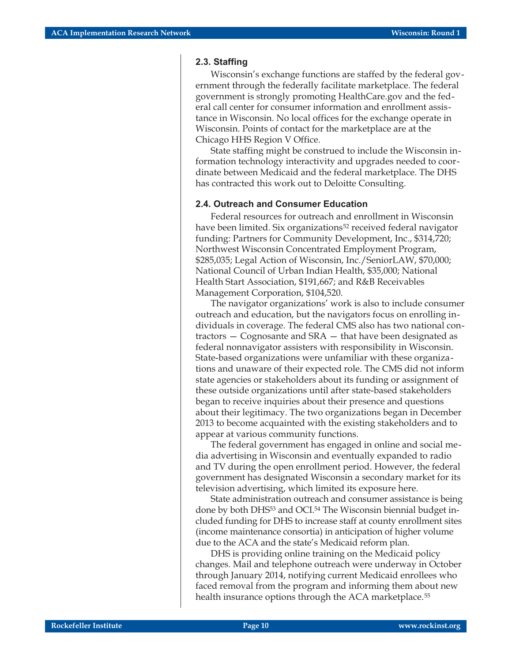#### **2.3. Staffing**

Wisconsin's exchange functions are staffed by the federal government through the federally facilitate marketplace. The federal government is strongly promoting HealthCare.gov and the federal call center for consumer information and enrollment assistance in Wisconsin. No local offices for the exchange operate in Wisconsin. Points of contact for the marketplace are at the Chicago HHS Region V Office.

State staffing might be construed to include the Wisconsin information technology interactivity and upgrades needed to coordinate between Medicaid and the federal marketplace. The DHS has contracted this work out to Deloitte Consulting.

#### **2.4. Outreach and Consumer Education**

Federal resources for outreach and enrollment in Wisconsin have been limited. Six organizations<sup>52</sup> received federal navigator funding: Partners for Community Development, Inc., \$314,720; Northwest Wisconsin Concentrated Employment Program, \$285,035; Legal Action of Wisconsin, Inc./SeniorLAW, \$70,000; National Council of Urban Indian Health, \$35,000; National Health Start Association, \$191,667; and R&B Receivables Management Corporation, \$104,520.

The navigator organizations' work is also to include consumer outreach and education, but the navigators focus on enrolling individuals in coverage. The federal CMS also has two national contractors — Cognosante and SRA — that have been designated as federal nonnavigator assisters with responsibility in Wisconsin. State-based organizations were unfamiliar with these organizations and unaware of their expected role. The CMS did not inform state agencies or stakeholders about its funding or assignment of these outside organizations until after state-based stakeholders began to receive inquiries about their presence and questions about their legitimacy. The two organizations began in December 2013 to become acquainted with the existing stakeholders and to appear at various community functions.

The federal government has engaged in online and social media advertising in Wisconsin and eventually expanded to radio and TV during the open enrollment period. However, the federal government has designated Wisconsin a secondary market for its television advertising, which limited its exposure here.

State administration outreach and consumer assistance is being done by both DHS<sup>53</sup> and OCI.<sup>54</sup> The Wisconsin biennial budget included funding for DHS to increase staff at county enrollment sites (income maintenance consortia) in anticipation of higher volume due to the ACA and the state's Medicaid reform plan.

DHS is providing online training on the Medicaid policy changes. Mail and telephone outreach were underway in October through January 2014, notifying current Medicaid enrollees who faced removal from the program and informing them about new health insurance options through the ACA marketplace.<sup>55</sup>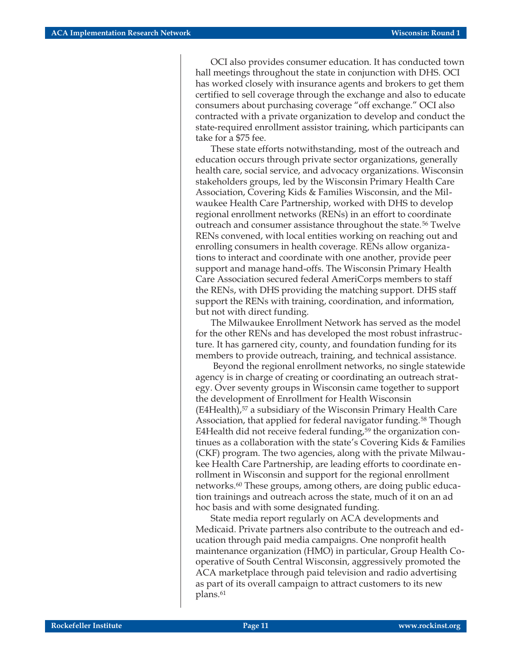OCI also provides consumer education. It has conducted town hall meetings throughout the state in conjunction with DHS. OCI has worked closely with insurance agents and brokers to get them certified to sell coverage through the exchange and also to educate consumers about purchasing coverage "off exchange." OCI also contracted with a private organization to develop and conduct the state-required enrollment assistor training, which participants can take for a \$75 fee.

These state efforts notwithstanding, most of the outreach and education occurs through private sector organizations, generally health care, social service, and advocacy organizations. Wisconsin stakeholders groups, led by the Wisconsin Primary Health Care Association, Covering Kids & Families Wisconsin, and the Milwaukee Health Care Partnership, worked with DHS to develop regional enrollment networks (RENs) in an effort to coordinate outreach and consumer assistance throughout the state.<sup>56</sup> Twelve RENs convened, with local entities working on reaching out and enrolling consumers in health coverage. RENs allow organizations to interact and coordinate with one another, provide peer support and manage hand-offs. The Wisconsin Primary Health Care Association secured federal AmeriCorps members to staff the RENs, with DHS providing the matching support. DHS staff support the RENs with training, coordination, and information, but not with direct funding.

The Milwaukee Enrollment Network has served as the model for the other RENs and has developed the most robust infrastructure. It has garnered city, county, and foundation funding for its members to provide outreach, training, and technical assistance.

Beyond the regional enrollment networks, no single statewide agency is in charge of creating or coordinating an outreach strategy. Over seventy groups in Wisconsin came together to support the development of Enrollment for Health Wisconsin (E4Health),<sup>57</sup> a subsidiary of the Wisconsin Primary Health Care Association, that applied for federal navigator funding.<sup>58</sup> Though E4Health did not receive federal funding, $59$  the organization continues as a collaboration with the state's Covering Kids & Families (CKF) program. The two agencies, along with the private Milwaukee Health Care Partnership, are leading efforts to coordinate enrollment in Wisconsin and support for the regional enrollment networks.60 These groups, among others, are doing public education trainings and outreach across the state, much of it on an ad hoc basis and with some designated funding.

State media report regularly on ACA developments and Medicaid. Private partners also contribute to the outreach and education through paid media campaigns. One nonprofit health maintenance organization (HMO) in particular, Group Health Cooperative of South Central Wisconsin, aggressively promoted the ACA marketplace through paid television and radio advertising as part of its overall campaign to attract customers to its new plans.61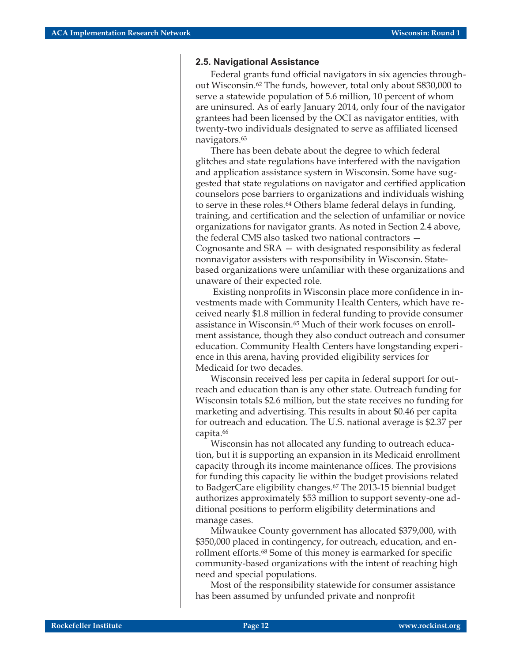#### **2.5. Navigational Assistance**

Federal grants fund official navigators in six agencies throughout Wisconsin.62 The funds, however, total only about \$830,000 to serve a statewide population of 5.6 million, 10 percent of whom are uninsured. As of early January 2014, only four of the navigator grantees had been licensed by the OCI as navigator entities, with twenty-two individuals designated to serve as affiliated licensed navigators.63

There has been debate about the degree to which federal glitches and state regulations have interfered with the navigation and application assistance system in Wisconsin. Some have suggested that state regulations on navigator and certified application counselors pose barriers to organizations and individuals wishing to serve in these roles.<sup>64</sup> Others blame federal delays in funding, training, and certification and the selection of unfamiliar or novice organizations for navigator grants. As noted in Section 2.4 above, the federal CMS also tasked two national contractors — Cognosante and SRA — with designated responsibility as federal nonnavigator assisters with responsibility in Wisconsin. Statebased organizations were unfamiliar with these organizations and unaware of their expected role.

Existing nonprofits in Wisconsin place more confidence in investments made with Community Health Centers, which have received nearly \$1.8 million in federal funding to provide consumer assistance in Wisconsin.65 Much of their work focuses on enrollment assistance, though they also conduct outreach and consumer education. Community Health Centers have longstanding experience in this arena, having provided eligibility services for Medicaid for two decades.

Wisconsin received less per capita in federal support for outreach and education than is any other state. Outreach funding for Wisconsin totals \$2.6 million, but the state receives no funding for marketing and advertising. This results in about \$0.46 per capita for outreach and education. The U.S. national average is \$2.37 per capita.66

Wisconsin has not allocated any funding to outreach education, but it is supporting an expansion in its Medicaid enrollment capacity through its income maintenance offices. The provisions for funding this capacity lie within the budget provisions related to BadgerCare eligibility changes.67 The 2013-15 biennial budget authorizes approximately \$53 million to support seventy-one additional positions to perform eligibility determinations and manage cases.

Milwaukee County government has allocated \$379,000, with \$350,000 placed in contingency, for outreach, education, and enrollment efforts.68 Some of this money is earmarked for specific community-based organizations with the intent of reaching high need and special populations.

Most of the responsibility statewide for consumer assistance has been assumed by unfunded private and nonprofit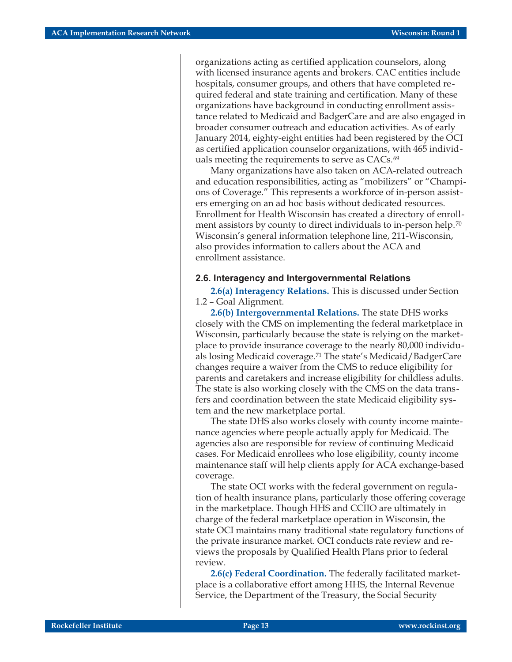organizations acting as certified application counselors, along with licensed insurance agents and brokers. CAC entities include hospitals, consumer groups, and others that have completed required federal and state training and certification. Many of these organizations have background in conducting enrollment assistance related to Medicaid and BadgerCare and are also engaged in broader consumer outreach and education activities. As of early January 2014, eighty-eight entities had been registered by the OCI as certified application counselor organizations, with 465 individuals meeting the requirements to serve as CACs.<sup>69</sup>

Many organizations have also taken on ACA-related outreach and education responsibilities, acting as "mobilizers" or "Champions of Coverage." This represents a workforce of in-person assisters emerging on an ad hoc basis without dedicated resources. Enrollment for Health Wisconsin has created a directory of enrollment assistors by county to direct individuals to in-person help.<sup>70</sup> Wisconsin's general information telephone line, 211-Wisconsin, also provides information to callers about the ACA and enrollment assistance.

#### **2.6. Interagency and Intergovernmental Relations**

**2.6(a) Interagency Relations.** This is discussed under Section 1.2 – Goal Alignment.

**2.6(b) Intergovernmental Relations.** The state DHS works closely with the CMS on implementing the federal marketplace in Wisconsin, particularly because the state is relying on the marketplace to provide insurance coverage to the nearly 80,000 individuals losing Medicaid coverage.71 The state's Medicaid/BadgerCare changes require a waiver from the CMS to reduce eligibility for parents and caretakers and increase eligibility for childless adults. The state is also working closely with the CMS on the data transfers and coordination between the state Medicaid eligibility system and the new marketplace portal.

The state DHS also works closely with county income maintenance agencies where people actually apply for Medicaid. The agencies also are responsible for review of continuing Medicaid cases. For Medicaid enrollees who lose eligibility, county income maintenance staff will help clients apply for ACA exchange-based coverage.

The state OCI works with the federal government on regulation of health insurance plans, particularly those offering coverage in the marketplace. Though HHS and CCIIO are ultimately in charge of the federal marketplace operation in Wisconsin, the state OCI maintains many traditional state regulatory functions of the private insurance market. OCI conducts rate review and reviews the proposals by Qualified Health Plans prior to federal review.

**2.6(c) Federal Coordination.** The federally facilitated marketplace is a collaborative effort among HHS, the Internal Revenue Service, the Department of the Treasury, the Social Security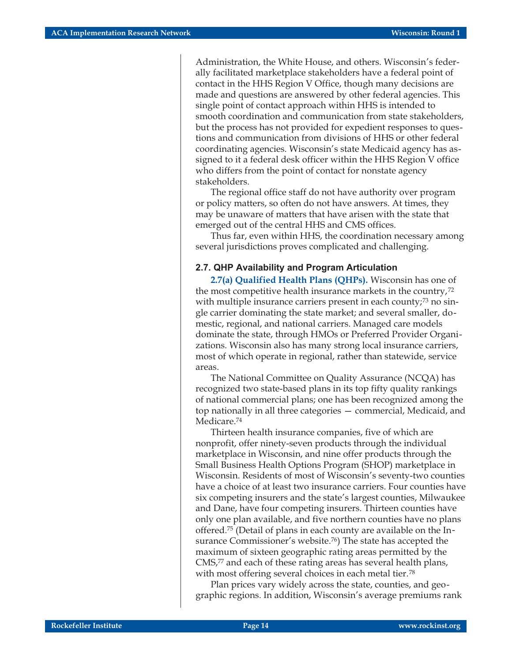Administration, the White House, and others. Wisconsin's federally facilitated marketplace stakeholders have a federal point of contact in the HHS Region V Office, though many decisions are made and questions are answered by other federal agencies. This single point of contact approach within HHS is intended to smooth coordination and communication from state stakeholders, but the process has not provided for expedient responses to questions and communication from divisions of HHS or other federal coordinating agencies. Wisconsin's state Medicaid agency has assigned to it a federal desk officer within the HHS Region V office who differs from the point of contact for nonstate agency stakeholders.

The regional office staff do not have authority over program or policy matters, so often do not have answers. At times, they may be unaware of matters that have arisen with the state that emerged out of the central HHS and CMS offices.

Thus far, even within HHS, the coordination necessary among several jurisdictions proves complicated and challenging.

#### **2.7. QHP Availability and Program Articulation**

**2.7(a) Qualified Health Plans (QHPs).** Wisconsin has one of the most competitive health insurance markets in the country,72 with multiple insurance carriers present in each county;<sup>73</sup> no single carrier dominating the state market; and several smaller, domestic, regional, and national carriers. Managed care models dominate the state, through HMOs or Preferred Provider Organizations. Wisconsin also has many strong local insurance carriers, most of which operate in regional, rather than statewide, service areas.

The National Committee on Quality Assurance (NCQA) has recognized two state-based plans in its top fifty quality rankings of national commercial plans; one has been recognized among the top nationally in all three categories — commercial, Medicaid, and Medicare.<sup>74</sup>

Thirteen health insurance companies, five of which are nonprofit, offer ninety-seven products through the individual marketplace in Wisconsin, and nine offer products through the Small Business Health Options Program (SHOP) marketplace in Wisconsin. Residents of most of Wisconsin's seventy-two counties have a choice of at least two insurance carriers. Four counties have six competing insurers and the state's largest counties, Milwaukee and Dane, have four competing insurers. Thirteen counties have only one plan available, and five northern counties have no plans offered.75 (Detail of plans in each county are available on the Insurance Commissioner's website.<sup>76</sup>) The state has accepted the maximum of sixteen geographic rating areas permitted by the CMS,<sup>77</sup> and each of these rating areas has several health plans, with most offering several choices in each metal tier.<sup>78</sup>

Plan prices vary widely across the state, counties, and geographic regions. In addition, Wisconsin's average premiums rank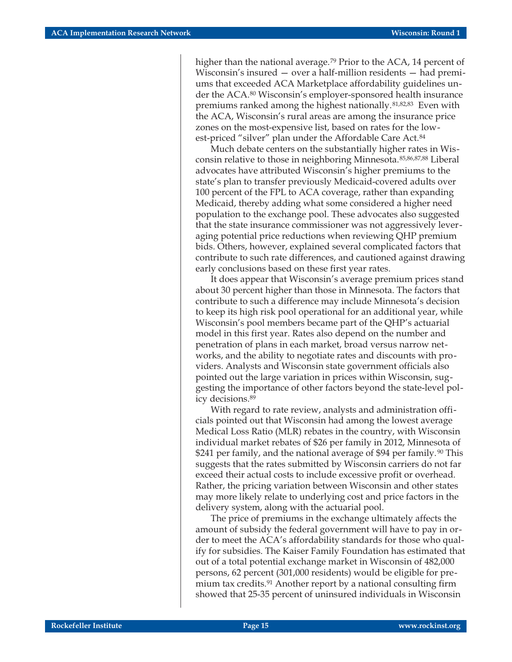higher than the national average.<sup>79</sup> Prior to the ACA, 14 percent of Wisconsin's insured — over a half-million residents — had premiums that exceeded ACA Marketplace affordability guidelines under the ACA.80 Wisconsin's employer-sponsored health insurance premiums ranked among the highest nationally.<sup>81,82,83</sup> Even with the ACA, Wisconsin's rural areas are among the insurance price zones on the most-expensive list, based on rates for the lowest-priced "silver" plan under the Affordable Care Act.<sup>84</sup>

Much debate centers on the substantially higher rates in Wisconsin relative to those in neighboring Minnesota.85,86,87,88 Liberal advocates have attributed Wisconsin's higher premiums to the state's plan to transfer previously Medicaid-covered adults over 100 percent of the FPL to ACA coverage, rather than expanding Medicaid, thereby adding what some considered a higher need population to the exchange pool. These advocates also suggested that the state insurance commissioner was not aggressively leveraging potential price reductions when reviewing QHP premium bids. Others, however, explained several complicated factors that contribute to such rate differences, and cautioned against drawing early conclusions based on these first year rates.

It does appear that Wisconsin's average premium prices stand about 30 percent higher than those in Minnesota. The factors that contribute to such a difference may include Minnesota's decision to keep its high risk pool operational for an additional year, while Wisconsin's pool members became part of the QHP's actuarial model in this first year. Rates also depend on the number and penetration of plans in each market, broad versus narrow networks, and the ability to negotiate rates and discounts with providers. Analysts and Wisconsin state government officials also pointed out the large variation in prices within Wisconsin, suggesting the importance of other factors beyond the state-level policy decisions.89

With regard to rate review, analysts and administration officials pointed out that Wisconsin had among the lowest average Medical Loss Ratio (MLR) rebates in the country, with Wisconsin individual market rebates of \$26 per family in 2012, Minnesota of \$241 per family, and the national average of \$94 per family.<sup>90</sup> This suggests that the rates submitted by Wisconsin carriers do not far exceed their actual costs to include excessive profit or overhead. Rather, the pricing variation between Wisconsin and other states may more likely relate to underlying cost and price factors in the delivery system, along with the actuarial pool.

The price of premiums in the exchange ultimately affects the amount of subsidy the federal government will have to pay in order to meet the ACA's affordability standards for those who qualify for subsidies. The Kaiser Family Foundation has estimated that out of a total potential exchange market in Wisconsin of 482,000 persons, 62 percent (301,000 residents) would be eligible for premium tax credits.<sup>91</sup> Another report by a national consulting firm showed that 25-35 percent of uninsured individuals in Wisconsin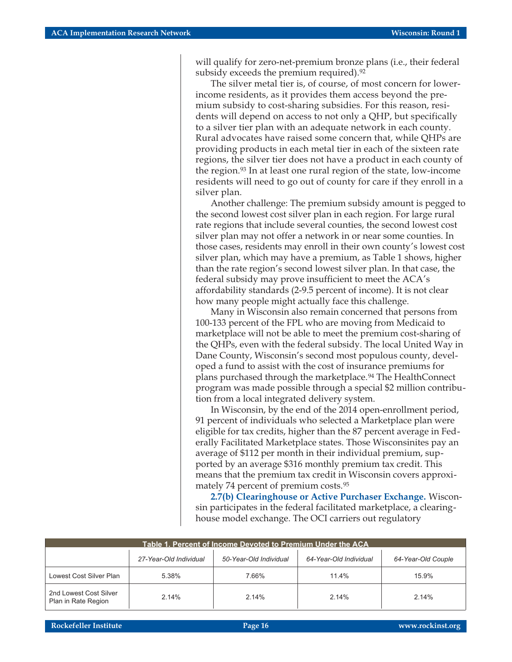will qualify for zero-net-premium bronze plans (i.e., their federal subsidy exceeds the premium required).<sup>92</sup>

The silver metal tier is, of course, of most concern for lowerincome residents, as it provides them access beyond the premium subsidy to cost-sharing subsidies. For this reason, residents will depend on access to not only a QHP, but specifically to a silver tier plan with an adequate network in each county. Rural advocates have raised some concern that, while QHPs are providing products in each metal tier in each of the sixteen rate regions, the silver tier does not have a product in each county of the region.93 In at least one rural region of the state, low-income residents will need to go out of county for care if they enroll in a silver plan.

Another challenge: The premium subsidy amount is pegged to the second lowest cost silver plan in each region. For large rural rate regions that include several counties, the second lowest cost silver plan may not offer a network in or near some counties. In those cases, residents may enroll in their own county's lowest cost silver plan, which may have a premium, as Table 1 shows, higher than the rate region's second lowest silver plan. In that case, the federal subsidy may prove insufficient to meet the ACA's affordability standards (2-9.5 percent of income). It is not clear how many people might actually face this challenge.

Many in Wisconsin also remain concerned that persons from 100-133 percent of the FPL who are moving from Medicaid to marketplace will not be able to meet the premium cost-sharing of the QHPs, even with the federal subsidy. The local United Way in Dane County, Wisconsin's second most populous county, developed a fund to assist with the cost of insurance premiums for plans purchased through the marketplace.94 The HealthConnect program was made possible through a special \$2 million contribution from a local integrated delivery system.

In Wisconsin, by the end of the 2014 open-enrollment period, 91 percent of individuals who selected a Marketplace plan were eligible for tax credits, higher than the 87 percent average in Federally Facilitated Marketplace states. Those Wisconsinites pay an average of \$112 per month in their individual premium, supported by an average \$316 monthly premium tax credit. This means that the premium tax credit in Wisconsin covers approximately 74 percent of premium costs.95

**2.7(b) Clearinghouse or Active Purchaser Exchange.** Wisconsin participates in the federal facilitated marketplace, a clearinghouse model exchange. The OCI carriers out regulatory

| Table 1. Percent of Income Devoted to Premium Under the ACA |                        |                        |                        |                    |  |
|-------------------------------------------------------------|------------------------|------------------------|------------------------|--------------------|--|
|                                                             | 27-Year-Old Individual | 50-Year-Old Individual | 64-Year-Old Individual | 64-Year-Old Couple |  |
| Lowest Cost Silver Plan                                     | 5.38%                  | 7.66%                  | 11.4%                  | 15.9%              |  |
| 2nd Lowest Cost Silver<br>Plan in Rate Region               | 2.14%                  | 2.14%                  | 2.14%                  | 2.14%              |  |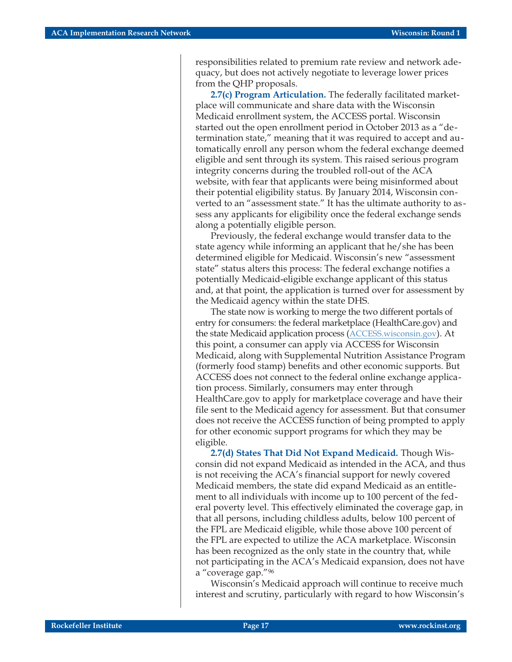responsibilities related to premium rate review and network adequacy, but does not actively negotiate to leverage lower prices from the QHP proposals.

**2.7(c) Program Articulation.** The federally facilitated marketplace will communicate and share data with the Wisconsin Medicaid enrollment system, the ACCESS portal. Wisconsin started out the open enrollment period in October 2013 as a "determination state," meaning that it was required to accept and automatically enroll any person whom the federal exchange deemed eligible and sent through its system. This raised serious program integrity concerns during the troubled roll-out of the ACA website, with fear that applicants were being misinformed about their potential eligibility status. By January 2014, Wisconsin converted to an "assessment state." It has the ultimate authority to assess any applicants for eligibility once the federal exchange sends along a potentially eligible person.

Previously, the federal exchange would transfer data to the state agency while informing an applicant that he/she has been determined eligible for Medicaid. Wisconsin's new "assessment state" status alters this process: The federal exchange notifies a potentially Medicaid-eligible exchange applicant of this status and, at that point, the application is turned over for assessment by the Medicaid agency within the state DHS.

The state now is working to merge the two different portals of entry for consumers: the federal marketplace (HealthCare.gov) and the state Medicaid application process [\(ACCESS.wisconsin.gov](https://access.wisconsin.gov/)). At this point, a consumer can apply via ACCESS for Wisconsin Medicaid, along with Supplemental Nutrition Assistance Program (formerly food stamp) benefits and other economic supports. But ACCESS does not connect to the federal online exchange application process. Similarly, consumers may enter through HealthCare.gov to apply for marketplace coverage and have their file sent to the Medicaid agency for assessment. But that consumer does not receive the ACCESS function of being prompted to apply for other economic support programs for which they may be eligible.

**2.7(d) States That Did Not Expand Medicaid.** Though Wisconsin did not expand Medicaid as intended in the ACA, and thus is not receiving the ACA's financial support for newly covered Medicaid members, the state did expand Medicaid as an entitlement to all individuals with income up to 100 percent of the federal poverty level. This effectively eliminated the coverage gap, in that all persons, including childless adults, below 100 percent of the FPL are Medicaid eligible, while those above 100 percent of the FPL are expected to utilize the ACA marketplace. Wisconsin has been recognized as the only state in the country that, while not participating in the ACA's Medicaid expansion, does not have a "coverage gap."96

Wisconsin's Medicaid approach will continue to receive much interest and scrutiny, particularly with regard to how Wisconsin's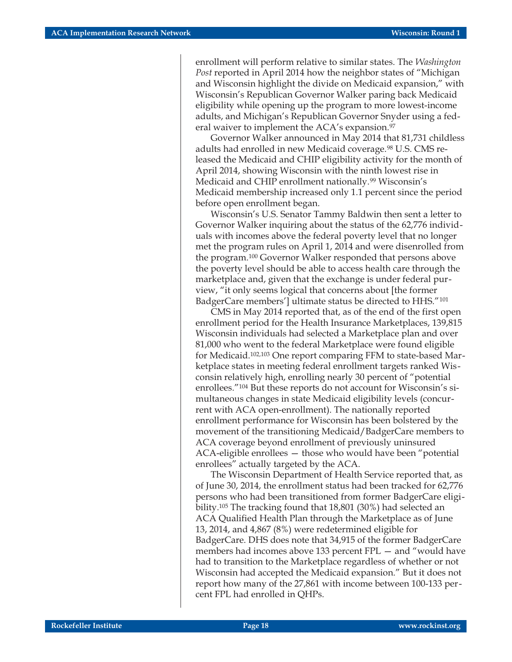enrollment will perform relative to similar states. The *Washington Post* reported in April 2014 how the neighbor states of "Michigan and Wisconsin highlight the divide on Medicaid expansion," with Wisconsin's Republican Governor Walker paring back Medicaid eligibility while opening up the program to more lowest-income adults, and Michigan's Republican Governor Snyder using a federal waiver to implement the ACA's expansion.<sup>97</sup>

Governor Walker announced in May 2014 that 81,731 childless adults had enrolled in new Medicaid coverage.98 U.S. CMS released the Medicaid and CHIP eligibility activity for the month of April 2014, showing Wisconsin with the ninth lowest rise in Medicaid and CHIP enrollment nationally.<sup>99</sup> Wisconsin's Medicaid membership increased only 1.1 percent since the period before open enrollment began.

Wisconsin's U.S. Senator Tammy Baldwin then sent a letter to Governor Walker inquiring about the status of the 62,776 individuals with incomes above the federal poverty level that no longer met the program rules on April 1, 2014 and were disenrolled from the program.100 Governor Walker responded that persons above the poverty level should be able to access health care through the marketplace and, given that the exchange is under federal purview, "it only seems logical that concerns about [the former BadgerCare members'] ultimate status be directed to HHS."101

CMS in May 2014 reported that, as of the end of the first open enrollment period for the Health Insurance Marketplaces, 139,815 Wisconsin individuals had selected a Marketplace plan and over 81,000 who went to the federal Marketplace were found eligible for Medicaid.102,103 One report comparing FFM to state-based Marketplace states in meeting federal enrollment targets ranked Wisconsin relatively high, enrolling nearly 30 percent of "potential enrollees."104 But these reports do not account for Wisconsin's simultaneous changes in state Medicaid eligibility levels (concurrent with ACA open-enrollment). The nationally reported enrollment performance for Wisconsin has been bolstered by the movement of the transitioning Medicaid/BadgerCare members to ACA coverage beyond enrollment of previously uninsured ACA-eligible enrollees — those who would have been "potential enrollees" actually targeted by the ACA.

The Wisconsin Department of Health Service reported that, as of June 30, 2014, the enrollment status had been tracked for 62,776 persons who had been transitioned from former BadgerCare eligibility.105 The tracking found that 18,801 (30%) had selected an ACA Qualified Health Plan through the Marketplace as of June 13, 2014, and 4,867 (8%) were redetermined eligible for BadgerCare. DHS does note that 34,915 of the former BadgerCare members had incomes above 133 percent FPL — and "would have had to transition to the Marketplace regardless of whether or not Wisconsin had accepted the Medicaid expansion." But it does not report how many of the 27,861 with income between 100-133 percent FPL had enrolled in QHPs.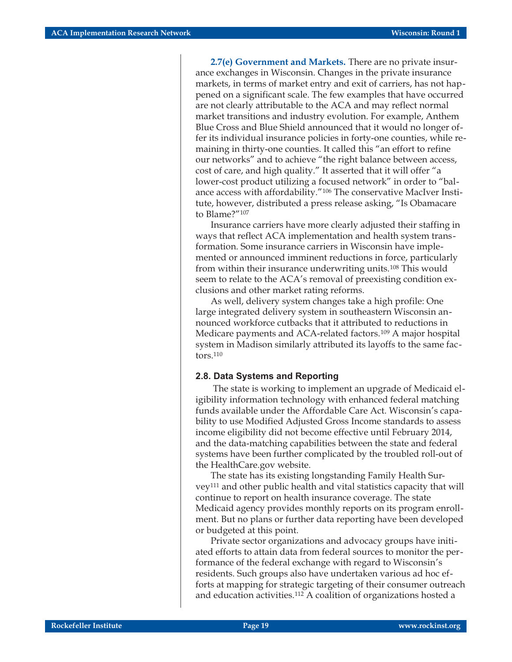**2.7(e) Government and Markets.** There are no private insurance exchanges in Wisconsin. Changes in the private insurance markets, in terms of market entry and exit of carriers, has not happened on a significant scale. The few examples that have occurred are not clearly attributable to the ACA and may reflect normal market transitions and industry evolution. For example, Anthem Blue Cross and Blue Shield announced that it would no longer offer its individual insurance policies in forty-one counties, while remaining in thirty-one counties. It called this "an effort to refine our networks" and to achieve "the right balance between access, cost of care, and high quality." It asserted that it will offer "a lower-cost product utilizing a focused network" in order to "balance access with affordability."106 The conservative MacIver Institute, however, distributed a press release asking, "Is Obamacare to Blame?"107

Insurance carriers have more clearly adjusted their staffing in ways that reflect ACA implementation and health system transformation. Some insurance carriers in Wisconsin have implemented or announced imminent reductions in force, particularly from within their insurance underwriting units.108 This would seem to relate to the ACA's removal of preexisting condition exclusions and other market rating reforms.

As well, delivery system changes take a high profile: One large integrated delivery system in southeastern Wisconsin announced workforce cutbacks that it attributed to reductions in Medicare payments and ACA-related factors.109 A major hospital system in Madison similarly attributed its layoffs to the same factors.110

#### **2.8. Data Systems and Reporting**

The state is working to implement an upgrade of Medicaid eligibility information technology with enhanced federal matching funds available under the Affordable Care Act. Wisconsin's capability to use Modified Adjusted Gross Income standards to assess income eligibility did not become effective until February 2014, and the data-matching capabilities between the state and federal systems have been further complicated by the troubled roll-out of the HealthCare.gov website.

The state has its existing longstanding Family Health Survey111 and other public health and vital statistics capacity that will continue to report on health insurance coverage. The state Medicaid agency provides monthly reports on its program enrollment. But no plans or further data reporting have been developed or budgeted at this point.

Private sector organizations and advocacy groups have initiated efforts to attain data from federal sources to monitor the performance of the federal exchange with regard to Wisconsin's residents. Such groups also have undertaken various ad hoc efforts at mapping for strategic targeting of their consumer outreach and education activities.112 A coalition of organizations hosted a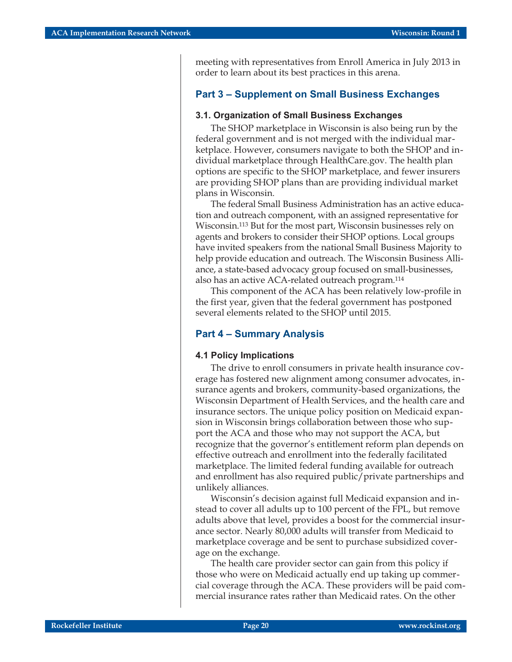meeting with representatives from Enroll America in July 2013 in order to learn about its best practices in this arena.

#### **Part 3 – Supplement on Small Business Exchanges**

#### **3.1. Organization of Small Business Exchanges**

The SHOP marketplace in Wisconsin is also being run by the federal government and is not merged with the individual marketplace. However, consumers navigate to both the SHOP and individual marketplace through HealthCare.gov. The health plan options are specific to the SHOP marketplace, and fewer insurers are providing SHOP plans than are providing individual market plans in Wisconsin.

The federal Small Business Administration has an active education and outreach component, with an assigned representative for Wisconsin.113 But for the most part, Wisconsin businesses rely on agents and brokers to consider their SHOP options. Local groups have invited speakers from the national Small Business Majority to help provide education and outreach. The Wisconsin Business Alliance, a state-based advocacy group focused on small-businesses, also has an active ACA-related outreach program.114

This component of the ACA has been relatively low-profile in the first year, given that the federal government has postponed several elements related to the SHOP until 2015.

#### **Part 4 – Summary Analysis**

#### **4.1 Policy Implications**

The drive to enroll consumers in private health insurance coverage has fostered new alignment among consumer advocates, insurance agents and brokers, community-based organizations, the Wisconsin Department of Health Services, and the health care and insurance sectors. The unique policy position on Medicaid expansion in Wisconsin brings collaboration between those who support the ACA and those who may not support the ACA, but recognize that the governor's entitlement reform plan depends on effective outreach and enrollment into the federally facilitated marketplace. The limited federal funding available for outreach and enrollment has also required public/private partnerships and unlikely alliances.

Wisconsin's decision against full Medicaid expansion and instead to cover all adults up to 100 percent of the FPL, but remove adults above that level, provides a boost for the commercial insurance sector. Nearly 80,000 adults will transfer from Medicaid to marketplace coverage and be sent to purchase subsidized coverage on the exchange.

The health care provider sector can gain from this policy if those who were on Medicaid actually end up taking up commercial coverage through the ACA. These providers will be paid commercial insurance rates rather than Medicaid rates. On the other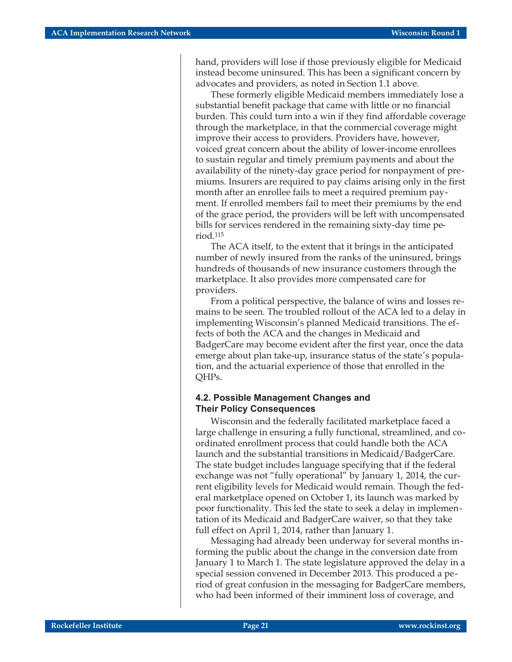hand, providers will lose if those previously eligible for Medicaid instead become uninsured. This has been a significant concern by advocates and providers, as noted in Section 1.1 above.

These formerly eligible Medicaid members immediately lose a substantial benefit package that came with little or no financial burden. This could turn into a win if they find affordable coverage through the marketplace, in that the commercial coverage might improve their access to providers. Providers have, however, voiced great concern about the ability of lower-income enrollees to sustain regular and timely premium payments and about the availability of the ninety-day grace period for nonpayment of premiums. Insurers are required to pay claims arising only in the first month after an enrollee fails to meet a required premium payment. If enrolled members fail to meet their premiums by the end of the grace period, the providers will be left with uncompensated bills for services rendered in the remaining sixty-day time period.115

The ACA itself, to the extent that it brings in the anticipated number of newly insured from the ranks of the uninsured, brings hundreds of thousands of new insurance customers through the marketplace. It also provides more compensated care for providers.

From a political perspective, the balance of wins and losses remains to be seen. The troubled rollout of the ACA led to a delay in implementing Wisconsin's planned Medicaid transitions. The effects of both the ACA and the changes in Medicaid and BadgerCare may become evident after the first year, once the data emerge about plan take-up, insurance status of the state's population, and the actuarial experience of those that enrolled in the QHPs.

#### **4.2. Possible Management Changes and Their Policy Consequences**

Wisconsin and the federally facilitated marketplace faced a large challenge in ensuring a fully functional, streamlined, and coordinated enrollment process that could handle both the ACA launch and the substantial transitions in Medicaid/BadgerCare. The state budget includes language specifying that if the federal exchange was not "fully operational" by January 1, 2014, the current eligibility levels for Medicaid would remain. Though the federal marketplace opened on October 1, its launch was marked by poor functionality. This led the state to seek a delay in implementation of its Medicaid and BadgerCare waiver, so that they take full effect on April 1, 2014, rather than January 1.

Messaging had already been underway for several months informing the public about the change in the conversion date from January 1 to March 1. The state legislature approved the delay in a special session convened in December 2013. This produced a period of great confusion in the messaging for BadgerCare members, who had been informed of their imminent loss of coverage, and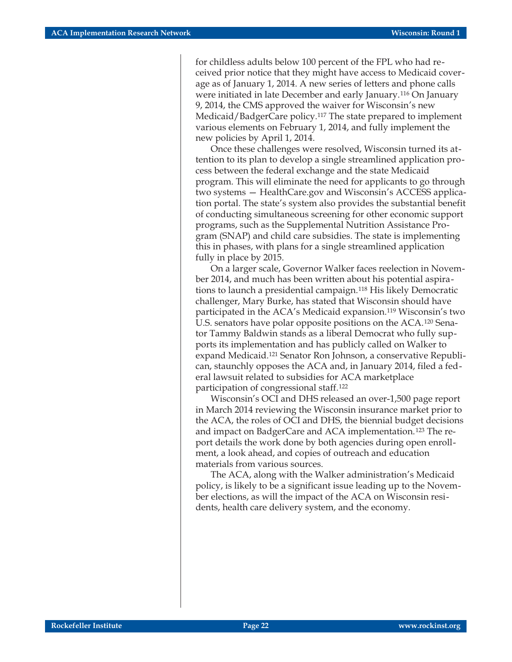for childless adults below 100 percent of the FPL who had received prior notice that they might have access to Medicaid coverage as of January 1, 2014. A new series of letters and phone calls were initiated in late December and early January.116 On January 9, 2014, the CMS approved the waiver for Wisconsin's new Medicaid/BadgerCare policy.117 The state prepared to implement various elements on February 1, 2014, and fully implement the new policies by April 1, 2014.

Once these challenges were resolved, Wisconsin turned its attention to its plan to develop a single streamlined application process between the federal exchange and the state Medicaid program. This will eliminate the need for applicants to go through two systems — HealthCare.gov and Wisconsin's ACCESS application portal. The state's system also provides the substantial benefit of conducting simultaneous screening for other economic support programs, such as the Supplemental Nutrition Assistance Program (SNAP) and child care subsidies. The state is implementing this in phases, with plans for a single streamlined application fully in place by 2015.

On a larger scale, Governor Walker faces reelection in November 2014, and much has been written about his potential aspirations to launch a presidential campaign.118 His likely Democratic challenger, Mary Burke, has stated that Wisconsin should have participated in the ACA's Medicaid expansion.119 Wisconsin's two U.S. senators have polar opposite positions on the ACA.120 Senator Tammy Baldwin stands as a liberal Democrat who fully supports its implementation and has publicly called on Walker to expand Medicaid.121 Senator Ron Johnson, a conservative Republican, staunchly opposes the ACA and, in January 2014, filed a federal lawsuit related to subsidies for ACA marketplace participation of congressional staff.122

Wisconsin's OCI and DHS released an over-1,500 page report in March 2014 reviewing the Wisconsin insurance market prior to the ACA, the roles of OCI and DHS, the biennial budget decisions and impact on BadgerCare and ACA implementation.123 The report details the work done by both agencies during open enrollment, a look ahead, and copies of outreach and education materials from various sources.

The ACA, along with the Walker administration's Medicaid policy, is likely to be a significant issue leading up to the November elections, as will the impact of the ACA on Wisconsin residents, health care delivery system, and the economy.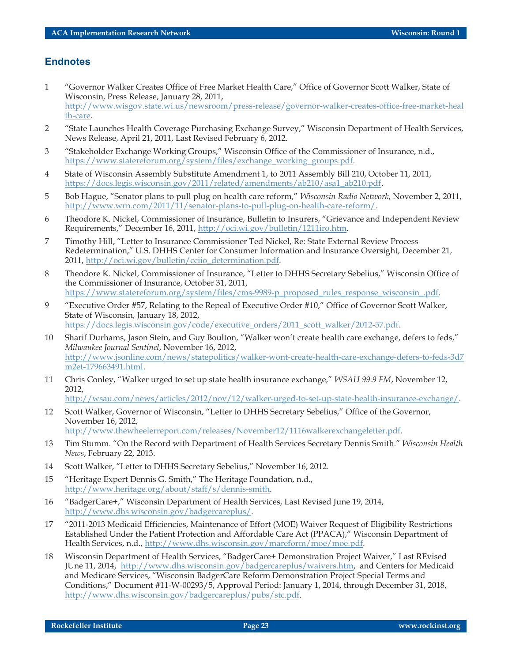#### **Endnotes**

- 1 "Governor Walker Creates Office of Free Market Health Care," Office of Governor Scott Walker, State of Wisconsin, Press Release, January 28, 2011, [http://www.wisgov.state.wi.us/newsroom/press-release/governor-walker-creates-office-free-market-heal](http://www.wisgov.state.wi.us/newsroom/press-release/governor-walker-creates-office-free-market-health-care) [th-care](http://www.wisgov.state.wi.us/newsroom/press-release/governor-walker-creates-office-free-market-health-care).
- 2 "State Launches Health Coverage Purchasing Exchange Survey," Wisconsin Department of Health Services, News Release, April 21, 2011, Last Revised February 6, 2012.
- 3 "Stakeholder Exchange Working Groups," Wisconsin Office of the Commissioner of Insurance, n.d., [https://www.statereforum.org/system/files/exchange\\_working\\_groups.pdf](https://www.statereforum.org/system/files/exchange_working_groups.pdf).
- 4 State of Wisconsin Assembly Substitute Amendment 1, to 2011 Assembly Bill 210, October 11, 2011, [https://docs.legis.wisconsin.gov/2011/related/amendments/ab210/asa1\\_ab210.pdf](https://docs.legis.wisconsin.gov/2011/related/amendments/ab210/asa1_ab210.pdf).
- 5 Bob Hague, "Senator plans to pull plug on health care reform," *Wisconsin Radio Network*, November 2, 2011, [http://www.wrn.com/2011/11/senator-plans-to-pull-plug-on-health-care-reform/.](http://www.wrn.com/2011/11/senator-plans-to-pull-plug-on-health-care-reform/)
- 6 Theodore K. Nickel, Commissioner of Insurance, Bulletin to Insurers, "Grievance and Independent Review Requirements," December 16, 2011, [http://oci.wi.gov/bulletin/1211iro.htm.](http://oci.wi.gov/bulletin/1211iro.htm)
- 7 Timothy Hill, "Letter to Insurance Commissioner Ted Nickel, Re: State External Review Process Redetermination," U.S. DHHS Center for Consumer Information and Insurance Oversight, December 21, 2011, [http://oci.wi.gov/bulletin/cciio\\_determination.pdf.](http://oci.wi.gov/bulletin/cciio_determination.pdf)
- 8 Theodore K. Nickel, Commissioner of Insurance, "Letter to DHHS Secretary Sebelius," Wisconsin Office of the Commissioner of Insurance, October 31, 2011, [https://www.statereforum.org/system/files/cms-9989-p\\_proposed\\_rules\\_response\\_wisconsin\\_.pdf.](https://www.statereforum.org/system/files/cms-9989-p_proposed_rules_response_wisconsin_.pdf)
- 9 "Executive Order #57, Relating to the Repeal of Executive Order #10," Office of Governor Scott Walker, State of Wisconsin, January 18, 2012, [https://docs.legis.wisconsin.gov/code/executive\\_orders/2011\\_scott\\_walker/2012-57.pdf](https://docs.legis.wisconsin.gov/code/executive_orders/2011_scott_walker/2012-57.pdf).
- 10 Sharif Durhams, Jason Stein, and Guy Boulton, "Walker won't create health care exchange, defers to feds," *Milwaukee Journal Sentinel*, November 16, 2012, [http://www.jsonline.com/news/statepolitics/walker-wont-create-health-care-exchange-defers-to-feds-3d7](http://www.jsonline.com/news/statepolitics/walker-wont-create-health-care-exchange-defers-to-feds-3d7m2et-179663491.html) [m2et-179663491.html](http://www.jsonline.com/news/statepolitics/walker-wont-create-health-care-exchange-defers-to-feds-3d7m2et-179663491.html).
- 11 Chris Conley, "Walker urged to set up state health insurance exchange," *WSAU 99.9 FM*, November 12, 2012,

[http://wsau.com/news/articles/2012/nov/12/walker-urged-to-set-up-state-health-insurance-exchange/.](http://wsau.com/news/articles/2012/nov/12/walker-urged-to-set-up-state-health-insurance-exchange/)

12 Scott Walker, Governor of Wisconsin, "Letter to DHHS Secretary Sebelius," Office of the Governor, November 16, 2012,

<http://www.thewheelerreport.com/releases/November12/1116walkerexchangeletter.pdf>.

- 13 Tim Stumm. "On the Record with Department of Health Services Secretary Dennis Smith." *Wisconsin Health News*, February 22, 2013.
- 14 Scott Walker, "Letter to DHHS Secretary Sebelius," November 16, 2012.
- 15 "Heritage Expert Dennis G. Smith," The Heritage Foundation, n.d., [http://www.heritage.org/about/staff/s/dennis-smith.](http://www.heritage.org/about/staff/s/dennis-smith)
- 16 "BadgerCare+," Wisconsin Department of Health Services, Last Revised June 19, 2014, [http://www.dhs.wisconsin.gov/badgercareplus/.](http://www.dhs.wisconsin.gov/badgercareplus/)
- 17 "2011-2013 Medicaid Efficiencies, Maintenance of Effort (MOE) Waiver Request of Eligibility Restrictions Established Under the Patient Protection and Affordable Care Act (PPACA)," Wisconsin Department of Health Services, n.d., <http://www.dhs.wisconsin.gov/mareform/moe/moe.pdf>.
- 18 Wisconsin Department of Health Services, "BadgerCare+ Demonstration Project Waiver," Last REvised JUne 11, 2014, [http://www.dhs.wisconsin.gov/badgercareplus/waivers.htm,](http://www.dhs.wisconsin.gov/badgercareplus/waivers.htm) and Centers for Medicaid and Medicare Services, "Wisconsin BadgerCare Reform Demonstration Project Special Terms and Conditions," Document #11-W-00293/5, Approval Period: January 1, 2014, through December 31, 2018, <http://www.dhs.wisconsin.gov/badgercareplus/pubs/stc.pdf>.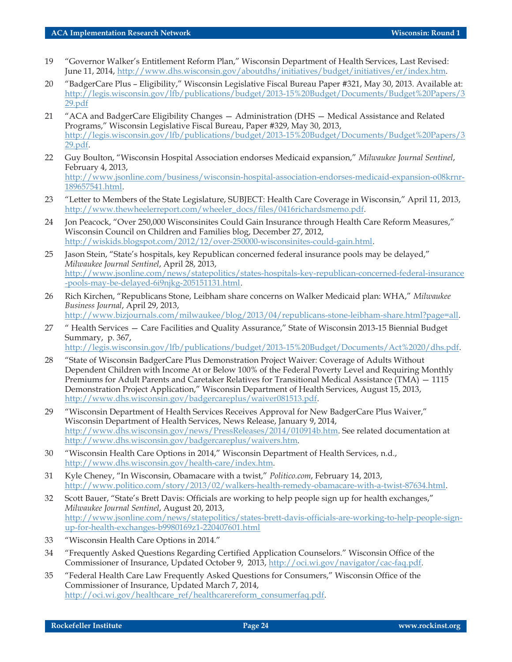- 19 "Governor Walker's Entitlement Reform Plan," Wisconsin Department of Health Services, Last Revised: June 11, 2014, <http://www.dhs.wisconsin.gov/aboutdhs/initiatives/budget/initiatives/er/index.htm>.
- 20 "BadgerCare Plus Eligibility," Wisconsin Legislative Fiscal Bureau Paper #321, May 30, 2013. Available at: [http://legis.wisconsin.gov/lfb/publications/budget/2013-15%20Budget/Documents/Budget%20Papers/3](http://legis.wisconsin.gov/lfb/publications/budget/2013-15%20Budget/Documents/Budget%20Papers/329.pdf) [29.pdf](http://legis.wisconsin.gov/lfb/publications/budget/2013-15%20Budget/Documents/Budget%20Papers/329.pdf)
- 21 "ACA and BadgerCare Eligibility Changes Administration (DHS Medical Assistance and Related Programs," Wisconsin Legislative Fiscal Bureau, Paper #329, May 30, 2013, [http://legis.wisconsin.gov/lfb/publications/budget/2013-15%20Budget/Documents/Budget%20Papers/3](http://legis.wisconsin.gov/lfb/publications/budget/2013-15%20Budget/Documents/Budget%20Papers/329.pdf) [29.pdf.](http://legis.wisconsin.gov/lfb/publications/budget/2013-15%20Budget/Documents/Budget%20Papers/329.pdf)
- 22 Guy Boulton, "Wisconsin Hospital Association endorses Medicaid expansion," *Milwaukee Journal Sentinel*, February 4, 2013, [http://www.jsonline.com/business/wisconsin-hospital-association-endorses-medicaid-expansion-o08krnr-](http://www.jsonline.com/business/wisconsin-hospital-association-endorses-medicaid-expansion-o08krnr-189657541.html)[189657541.html](http://www.jsonline.com/business/wisconsin-hospital-association-endorses-medicaid-expansion-o08krnr-189657541.html).
- 23 "Letter to Members of the State Legislature, SUBJECT: Health Care Coverage in Wisconsin," April 11, 2013, [http://www.thewheelerreport.com/wheeler\\_docs/files/0416richardsmemo.pdf](http://www.thewheelerreport.com/wheeler_docs/files/0416richardsmemo.pdf).
- 24 Jon Peacock, "Over 250,000 Wisconsinites Could Gain Insurance through Health Care Reform Measures," Wisconsin Council on Children and Families blog, December 27, 2012, [http://wiskids.blogspot.com/2012/12/over-250000-wisconsinites-could-gain.html.](http://wiskids.blogspot.com/2012/12/over-250000-wisconsinites-could-gain.html)
- 25 Jason Stein, "State's hospitals, key Republican concerned federal insurance pools may be delayed," *Milwaukee Journal Sentinel*, April 28, 2013, [http://www.jsonline.com/news/statepolitics/states-hospitals-key-republican-concerned-federal-insurance](http://www.jsonline.com/news/statepolitics/states-hospitals-key-republican-concerned-federal-insurance-pools-may-be-delayed-6i9njkg-205151131.html) [-pools-may-be-delayed-6i9njkg-205151131.html.](http://www.jsonline.com/news/statepolitics/states-hospitals-key-republican-concerned-federal-insurance-pools-may-be-delayed-6i9njkg-205151131.html)
- 26 Rich Kirchen, "Republicans Stone, Leibham share concerns on Walker Medicaid plan: WHA," *Milwaukee Business Journal*, April 29, 2013, [http://www.bizjournals.com/milwaukee/blog/2013/04/republicans-stone-leibham-share.html?page=all.](http://www.bizjournals.com/milwaukee/blog/2013/04/republicans-stone-leibham-share.html?page=all)
- 27 " Health Services Care Facilities and Quality Assurance," State of Wisconsin 2013-15 Biennial Budget Summary, p. 367, <http://legis.wisconsin.gov/lfb/publications/budget/2013-15%20Budget/Documents/Act%2020/dhs.pdf>.
- 28 "State of Wisconsin BadgerCare Plus Demonstration Project Waiver: Coverage of Adults Without Dependent Children with Income At or Below 100% of the Federal Poverty Level and Requiring Monthly Premiums for Adult Parents and Caretaker Relatives for Transitional Medical Assistance (TMA) — 1115 Demonstration Project Application," Wisconsin Department of Health Services, August 15, 2013, <http://www.dhs.wisconsin.gov/badgercareplus/waiver081513.pdf>.
- 29 "Wisconsin Department of Health Services Receives Approval for New BadgerCare Plus Waiver," Wisconsin Department of Health Services, News Release, January 9, 2014, <http://www.dhs.wisconsin.gov/news/PressReleases/2014/010914b.htm>. See related documentation at [http://www.dhs.wisconsin.gov/badgercareplus/waivers.htm.](http://www.dhs.wisconsin.gov/badgercareplus/waivers.htm)
- 30 "Wisconsin Health Care Options in 2014," Wisconsin Department of Health Services, n.d., <http://www.dhs.wisconsin.gov/health-care/index.htm>.
- 31 Kyle Cheney, "In Wisconsin, Obamacare with a twist," *Politico.com*, February 14, 2013, <http://www.politico.com/story/2013/02/walkers-health-remedy-obamacare-with-a-twist-87634.html>.
- 32 Scott Bauer, "State's Brett Davis: Officials are working to help people sign up for health exchanges," *Milwaukee Journal Sentinel*, August 20, 2013, [http://www.jsonline.com/news/statepolitics/states-brett-davis-officials-are-working-to-help-people-sign](http://www.jsonline.com/news/statepolitics/states-brett-davis-officials-are-working-to-help-people-sign-up-for-health-exchanges-b9980169z1-220407601.html)[up-for-health-exchanges-b9980169z1-220407601.html](http://www.jsonline.com/news/statepolitics/states-brett-davis-officials-are-working-to-help-people-sign-up-for-health-exchanges-b9980169z1-220407601.html)
- 33 "Wisconsin Health Care Options in 2014."
- 34 "Frequently Asked Questions Regarding Certified Application Counselors." Wisconsin Office of the Commissioner of Insurance, Updated October 9, 2013, <http://oci.wi.gov/navigator/cac-faq.pdf>.
- 35 "Federal Health Care Law Frequently Asked Questions for Consumers," Wisconsin Office of the Commissioner of Insurance, Updated March 7, 2014, [http://oci.wi.gov/healthcare\\_ref/healthcarereform\\_consumerfaq.pdf.](http://oci.wi.gov/healthcare_ref/healthcarereform_consumerfaq.pdf)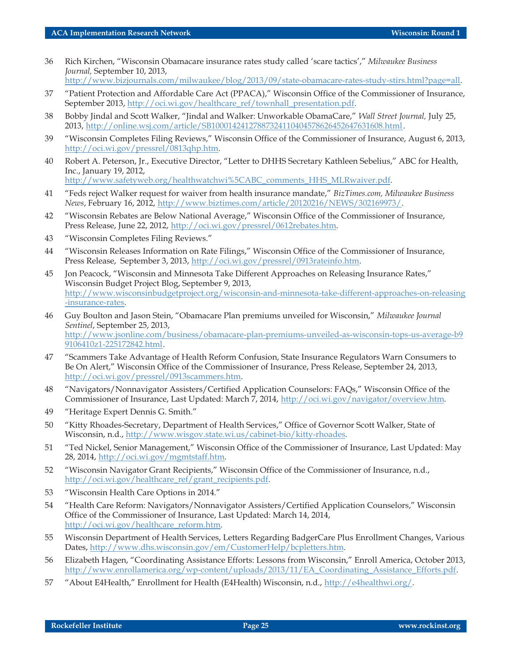36 Rich Kirchen, "Wisconsin Obamacare insurance rates study called 'scare tactics'," *Milwaukee Business Journal,* September 10, 2013,

[http://www.bizjournals.com/milwaukee/blog/2013/09/state-obamacare-rates-study-stirs.html?page=all.](http://www.bizjournals.com/milwaukee/blog/2013/09/state-obamacare-rates-study-stirs.html?page=all)

- 37 "Patient Protection and Affordable Care Act (PPACA)," Wisconsin Office of the Commissioner of Insurance, September 2013, [http://oci.wi.gov/healthcare\\_ref/townhall\\_presentation.pdf.](http://oci.wi.gov/healthcare_ref/townhall_presentation.pdf)
- 38 Bobby Jindal and Scott Walker, "Jindal and Walker: Unworkable ObamaCare," *Wall Street Journal,* July 25, 2013, <http://online.wsj.com/article/SB10001424127887324110404578626452647631608.html>.
- 39 "Wisconsin Completes Filing Reviews," Wisconsin Office of the Commissioner of Insurance, August 6, 2013, <http://oci.wi.gov/pressrel/0813qhp.htm>.
- 40 Robert A. Peterson, Jr., Executive Director, "Letter to DHHS Secretary Kathleen Sebelius," ABC for Health, Inc., January 19, 2012, [http://www.safetyweb.org/healthwatchwi%5CABC\\_comments\\_HHS\\_MLRwaiver.pdf.](http://www.safetyweb.org/healthwatchwi%5CABC_comments_HHS_MLRwaiver.pdf)
- 41 "Feds reject Walker request for waiver from health insurance mandate," *BizTimes.com, Milwaukee Business News*, February 16, 2012, <http://www.biztimes.com/article/20120216/NEWS/302169973/>.
- 42 "Wisconsin Rebates are Below National Average," Wisconsin Office of the Commissioner of Insurance, Press Release, June 22, 2012, <http://oci.wi.gov/pressrel/0612rebates.htm>.
- 43 "Wisconsin Completes Filing Reviews."
- 44 "Wisconsin Releases Information on Rate Filings," Wisconsin Office of the Commissioner of Insurance, Press Release, September 3, 2013, [http://oci.wi.gov/pressrel/0913rateinfo.htm.](http://oci.wi.gov/pressrel/0913rateinfo.htm)
- 45 Jon Peacock, "Wisconsin and Minnesota Take Different Approaches on Releasing Insurance Rates," Wisconsin Budget Project Blog, September 9, 2013, [http://www.wisconsinbudgetproject.org/wisconsin-and-minnesota-take-different-approaches-on-releasing](http://www.wisconsinbudgetproject.org/wisconsin-and-minnesota-take-different-approaches-on-releasing-insurance-rates) [-insurance-rates.](http://www.wisconsinbudgetproject.org/wisconsin-and-minnesota-take-different-approaches-on-releasing-insurance-rates)
- 46 Guy Boulton and Jason Stein, "Obamacare Plan premiums unveiled for Wisconsin," *Milwaukee Journal Sentinel*, September 25, 2013, [http://www.jsonline.com/business/obamacare-plan-premiums-unveiled-as-wisconsin-tops-us-average-b9](http://www.jsonline.com/business/obamacare-plan-premiums-unveiled-as-wisconsin-tops-us-average-b99106410z1-225172842.html) [9106410z1-225172842.html.](http://www.jsonline.com/business/obamacare-plan-premiums-unveiled-as-wisconsin-tops-us-average-b99106410z1-225172842.html)
- 47 "Scammers Take Advantage of Health Reform Confusion, State Insurance Regulators Warn Consumers to Be On Alert," Wisconsin Office of the Commissioner of Insurance, Press Release, September 24, 2013, <http://oci.wi.gov/pressrel/0913scammers.htm>.
- 48 "Navigators/Nonnavigator Assisters/Certified Application Counselors: FAQs," Wisconsin Office of the Commissioner of Insurance, Last Updated: March 7, 2014, <http://oci.wi.gov/navigator/overview.htm>.
- 49 "Heritage Expert Dennis G. Smith."
- 50 "Kitty Rhoades-Secretary, Department of Health Services," Office of Governor Scott Walker, State of Wisconsin, n.d., <http://www.wisgov.state.wi.us/cabinet-bio/kitty-rhoades>.
- 51 "Ted Nickel, Senior Management," Wisconsin Office of the Commissioner of Insurance, Last Updated: May 28, 2014, [http://oci.wi.gov/mgmtstaff.htm.](http://oci.wi.gov/mgmtstaff.htm)
- 52 "Wisconsin Navigator Grant Recipients," Wisconsin Office of the Commissioner of Insurance, n.d., [http://oci.wi.gov/healthcare\\_ref/grant\\_recipients.pdf](http://oci.wi.gov/healthcare_ref/grant_recipients.pdf).
- 53 "Wisconsin Health Care Options in 2014."
- 54 "Health Care Reform: Navigators/Nonnavigator Assisters/Certified Application Counselors," Wisconsin Office of the Commissioner of Insurance, Last Updated: March 14, 2014, [http://oci.wi.gov/healthcare\\_reform.htm.](http://oci.wi.gov/healthcare_reform.htm)
- 55 Wisconsin Department of Health Services, Letters Regarding BadgerCare Plus Enrollment Changes, Various Dates, [http://www.dhs.wisconsin.gov/em/CustomerHelp/bcpletters.htm.](http://www.dhs.wisconsin.gov/em/CustomerHelp/bcpletters.htm)
- 56 Elizabeth Hagen, "Coordinating Assistance Efforts: Lessons from Wisconsin," Enroll America, October 2013, [http://www.enrollamerica.org/wp-content/uploads/2013/11/EA\\_Coordinating\\_Assistance\\_Efforts.pdf.](http://www.enrollamerica.org/wp-content/uploads/2013/11/EA_Coordinating_Assistance_Efforts.pdf)
- 57 "About E4Health," Enrollment for Health (E4Health) Wisconsin, n.d., <http://e4healthwi.org/>.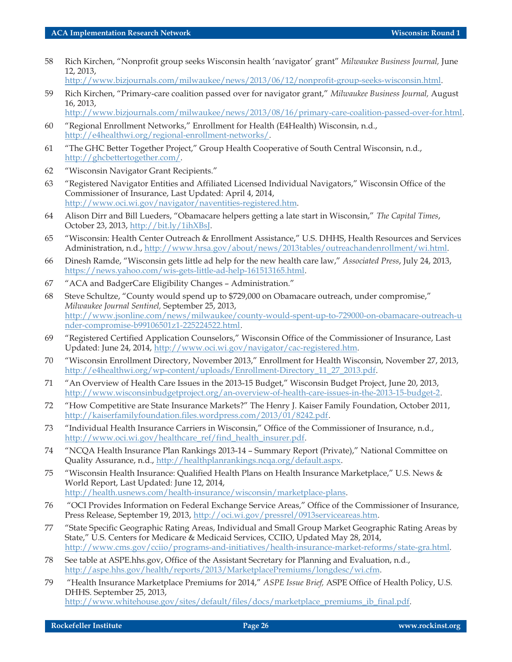58 Rich Kirchen, "Nonprofit group seeks Wisconsin health 'navigator' grant" *Milwaukee Business Journal,* June 12, 2013,

[http://www.bizjournals.com/milwaukee/news/2013/06/12/nonprofit-group-seeks-wisconsin.html.](http://www.bizjournals.com/milwaukee/news/2013/06/12/nonprofit-group-seeks-wisconsin.html)

59 Rich Kirchen, "Primary-care coalition passed over for navigator grant," *Milwaukee Business Journal,* August 16, 2013,

<http://www.bizjournals.com/milwaukee/news/2013/08/16/primary-care-coalition-passed-over-for.html>.

- 60 "Regional Enrollment Networks," Enrollment for Health (E4Health) Wisconsin, n.d., [http://e4healthwi.org/regional-enrollment-networks/.](http://e4healthwi.org/regional-enrollment-networks/)
- 61 "The GHC Better Together Project," Group Health Cooperative of South Central Wisconsin, n.d., [http://ghcbettertogether.com/.](http://ghcbettertogether.com/)
- 62 "Wisconsin Navigator Grant Recipients."
- 63 "Registered Navigator Entities and Affiliated Licensed Individual Navigators," Wisconsin Office of the Commissioner of Insurance, Last Updated: April 4, 2014, <http://www.oci.wi.gov/navigator/naventities-registered.htm>.
- 64 Alison Dirr and Bill Lueders, "Obamacare helpers getting a late start in Wisconsin," *The Capital Times*, October 23, 2013, <http://bit.ly/1ihXBsJ>.
- 65 "Wisconsin: Health Center Outreach & Enrollment Assistance," U.S. DHHS, Health Resources and Services Administration, n.d., [http://www.hrsa.gov/about/news/2013tables/outreachandenrollment/wi.html.](http://www.hrsa.gov/about/news/2013tables/outreachandenrollment/wi.html)
- 66 Dinesh Ramde, "Wisconsin gets little ad help for the new health care law," *Associated Press*, July 24, 2013, [https://news.yahoo.com/wis-gets-little-ad-help-161513165.html](http://).
- 67 "ACA and BadgerCare Eligibility Changes Administration."
- 68 Steve Schultze, "County would spend up to \$729,000 on Obamacare outreach, under compromise," *Milwaukee Journal Sentinel,* September 25, 2013, [http://www.jsonline.com/news/milwaukee/county-would-spent-up-to-729000-on-obamacare-outreach-u](http://www.jsonline.com/news/milwaukee/county-would-spent-up-to-729000-on-obamacare-outreach-under-compromise-b99106501z1-225224522.html) [nder-compromise-b99106501z1-225224522.html.](http://www.jsonline.com/news/milwaukee/county-would-spent-up-to-729000-on-obamacare-outreach-under-compromise-b99106501z1-225224522.html)
- 69 "Registered Certified Application Counselors," Wisconsin Office of the Commissioner of Insurance, Last Updated: June 24, 2014, <http://www.oci.wi.gov/navigator/cac-registered.htm>.
- 70 "Wisconsin Enrollment Directory, November 2013," Enrollment for Health Wisconsin, November 27, 2013, [http://e4healthwi.org/wp-content/uploads/Enrollment-Directory\\_11\\_27\\_2013.pdf.](http://e4healthwi.org/wp-content/uploads/Enrollment-Directory_11_27_2013.pdf)
- 71 "An Overview of Health Care Issues in the 2013-15 Budget," Wisconsin Budget Project, June 20, 2013, [http://www.wisconsinbudgetproject.org/an-overview-of-health-care-issues-in-the-2013-15-budget-2.](http://www.wisconsinbudgetproject.org/an-overview-of-health-care-issues-in-the-2013-15-budget-2)
- 72 "How Competitive are State Insurance Markets?" The Henry J. Kaiser Family Foundation, October 2011, [http://kaiserfamilyfoundation.files.wordpress.com/2013/01/8242.pdf.](http://kaiserfamilyfoundation.files.wordpress.com/2013/01/8242.pdf)
- 73 "Individual Health Insurance Carriers in Wisconsin," Office of the Commissioner of Insurance, n.d., [http://www.oci.wi.gov/healthcare\\_ref/find\\_health\\_insurer.pdf](http://www.oci.wi.gov/healthcare_ref/find_health_insurer.pdf).
- 74 "NCQA Health Insurance Plan Rankings 2013-14 Summary Report (Private)," National Committee on Quality Assurance, n.d., [http://healthplanrankings.ncqa.org/default.aspx.](http://healthplanrankings.ncqa.org/default.aspx)
- 75 "Wisconsin Health Insurance: Qualified Health Plans on Health Insurance Marketplace," U.S. News & World Report, Last Updated: June 12, 2014, [http://health.usnews.com/health-insurance/wisconsin/marketplace-plans.](http://health.usnews.com/health-insurance/wisconsin/marketplace-plans)
- 76 "OCI Provides Information on Federal Exchange Service Areas," Office of the Commissioner of Insurance, Press Release, September 19, 2013, [http://oci.wi.gov/pressrel/0913serviceareas.htm.](http://oci.wi.gov/pressrel/0913serviceareas.htm)
- 77 "State Specific Geographic Rating Areas, Individual and Small Group Market Geographic Rating Areas by State," U.S. Centers for Medicare & Medicaid Services, CCIIO, Updated May 28, 2014, [http://www.cms.gov/cciio/programs-and-initiatives/health-insurance-market-reforms/state-gra.html.](http://www.cms.gov/cciio/programs-and-initiatives/health-insurance-market-reforms/state-gra.html)
- 78 See table at ASPE.hhs.gov, Office of the Assistant Secretary for Planning and Evaluation, n.d., <http://aspe.hhs.gov/health/reports/2013/MarketplacePremiums/longdesc/wi.cfm>.
- 79 "Health Insurance Marketplace Premiums for 2014," *ASPE Issue Brief,* ASPE Office of Health Policy, U.S. DHHS. September 25, 2013, [http://www.whitehouse.gov/sites/default/files/docs/marketplace\\_premiums\\_ib\\_final.pdf.](http://www.whitehouse.gov/sites/default/files/docs/marketplace_premiums_ib_final.pdf)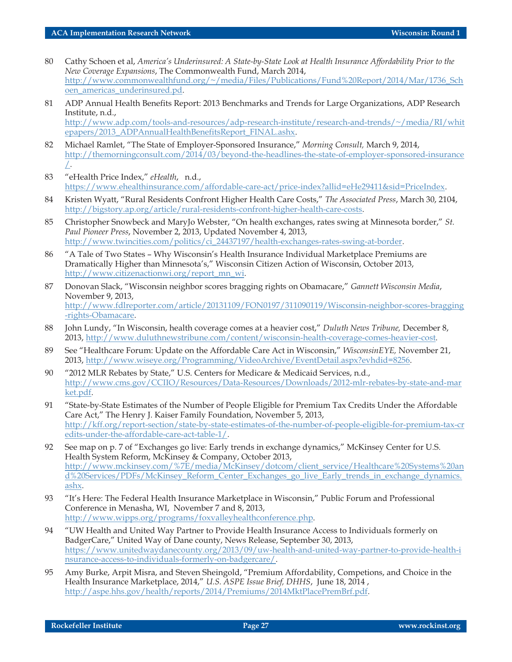- 80 Cathy Schoen et al, *America's Underinsured: A State-by-State Look at Health Insurance Affordability Prior to the New Coverage Expansions*, The Commonwealth Fund, March 2014, [http://www.commonwealthfund.org/~/media/Files/Publications/Fund%20Report/2014/Mar/1736\\_Sch](http://www.commonwealthfund.org/~/media/Files/Publications/Fund%20Report/2014/Mar/1736_Schoen_americas_underinsured.pd) oen americas underinsured.pd.
- 81 ADP Annual Health Benefits Report: 2013 Benchmarks and Trends for Large Organizations, ADP Research Institute, n.d., [http://www.adp.com/tools-and-resources/adp-research-institute/research-and-trends/~/media/RI/whit](http://www.adp.com/tools-and-resources/adp-research-institute/research-and-trends/~/media/RI/whitepapers/2013_ADPAnnualHealthBenefitsReport_FINAL.ashx) [epapers/2013\\_ADPAnnualHealthBenefitsReport\\_FINAL.ashx](http://www.adp.com/tools-and-resources/adp-research-institute/research-and-trends/~/media/RI/whitepapers/2013_ADPAnnualHealthBenefitsReport_FINAL.ashx).
- 82 Michael Ramlet, "The State of Employer-Sponsored Insurance," *Morning Consult,* March 9, 2014, [http://themorningconsult.com/2014/03/beyond-the-headlines-the-state-of-employer-sponsored-insurance](http://themorningconsult.com/2014/03/beyond-the-headlines-the-state-of-employer-sponsored-insurance/) [/.](http://themorningconsult.com/2014/03/beyond-the-headlines-the-state-of-employer-sponsored-insurance/)
- 83 "eHealth Price Index," *eHealth*, n.d., <https://www.ehealthinsurance.com/affordable-care-act/price-index?allid=eHe29411&sid=PriceIndex>.
- 84 Kristen Wyatt, "Rural Residents Confront Higher Health Care Costs," *The Associated Press*, March 30, 2104, <http://bigstory.ap.org/article/rural-residents-confront-higher-health-care-costs>.
- 85 Christopher Snowbeck and MaryJo Webster, "On health exchanges, rates swing at Minnesota border," *St. Paul Pioneer Press*, November 2, 2013, Updated November 4, 2013, [http://www.twincities.com/politics/ci\\_24437197/health-exchanges-rates-swing-at-border](http://www.twincities.com/politics/ci_24437197/health-exchanges-rates-swing-at-border).
- 86 "A Tale of Two States Why Wisconsin's Health Insurance Individual Marketplace Premiums are Dramatically Higher than Minnesota's," Wisconsin Citizen Action of Wisconsin, October 2013, [http://www.citizenactionwi.org/report\\_mn\\_wi](http://www.citizenactionwi.org/report_mn_wi).
- 87 Donovan Slack, "Wisconsin neighbor scores bragging rights on Obamacare," *Gannett Wisconsin Media*, November 9, 2013, [http://www.fdlreporter.com/article/20131109/FON0197/311090119/Wisconsin-neighbor-scores-bragging](http://www.fdlreporter.com/article/20131109/FON0197/311090119/Wisconsin-neighbor-scores-bragging-rights-Obamacare) [-rights-Obamacare.](http://www.fdlreporter.com/article/20131109/FON0197/311090119/Wisconsin-neighbor-scores-bragging-rights-Obamacare)
- 88 John Lundy, "In Wisconsin, health coverage comes at a heavier cost," *Duluth News Tribune,* December 8, 2013, <http://www.duluthnewstribune.com/content/wisconsin-health-coverage-comes-heavier-cost>.
- 89 See "Healthcare Forum: Update on the Affordable Care Act in Wisconsin," *WisconsinEYE,* November 21, 2013, <http://www.wiseye.org/Programming/VideoArchive/EventDetail.aspx?evhdid=8256>.
- 90 "2012 MLR Rebates by State," U.S. Centers for Medicare & Medicaid Services, n.d., [http://www.cms.gov/CCIIO/Resources/Data-Resources/Downloads/2012-mlr-rebates-by-state-and-mar](http://www.cms.gov/CCIIO/Resources/Data-Resources/Downloads/2012-mlr-rebates-by-state-and-market.pdf) [ket.pdf](http://www.cms.gov/CCIIO/Resources/Data-Resources/Downloads/2012-mlr-rebates-by-state-and-market.pdf).
- 91 "State-by-State Estimates of the Number of People Eligible for Premium Tax Credits Under the Affordable Care Act," The Henry J. Kaiser Family Foundation, November 5, 2013, [http://kff.org/report-section/state-by-state-estimates-of-the-number-of-people-eligible-for-premium-tax-cr](http://kff.org/report-section/state-by-state-estimates-of-the-number-of-people-eligible-for-premium-tax-credits-under-the-affordable-care-act-table-1/) [edits-under-the-affordable-care-act-table-1/.](http://kff.org/report-section/state-by-state-estimates-of-the-number-of-people-eligible-for-premium-tax-credits-under-the-affordable-care-act-table-1/)
- 92 See map on p. 7 of "Exchanges go live: Early trends in exchange dynamics," McKinsey Center for U.S. Health System Reform, McKinsey & Company, October 2013, [http://www.mckinsey.com/%7E/media/McKinsey/dotcom/client\\_service/Healthcare%20Systems%20an](http://www.mckinsey.com/%7E/media/McKinsey/dotcom/client_service/Healthcare%20Systems%20and%20Services/PDFs/McKinsey_Reform_Center_Exchanges_go_live_Early_trends_in_exchange_dynamics.ashx) [d%20Services/PDFs/McKinsey\\_Reform\\_Center\\_Exchanges\\_go\\_live\\_Early\\_trends\\_in\\_exchange\\_dynamics.](http://www.mckinsey.com/%7E/media/McKinsey/dotcom/client_service/Healthcare%20Systems%20and%20Services/PDFs/McKinsey_Reform_Center_Exchanges_go_live_Early_trends_in_exchange_dynamics.ashx) [ashx.](http://www.mckinsey.com/%7E/media/McKinsey/dotcom/client_service/Healthcare%20Systems%20and%20Services/PDFs/McKinsey_Reform_Center_Exchanges_go_live_Early_trends_in_exchange_dynamics.ashx)
- 93 "It's Here: The Federal Health Insurance Marketplace in Wisconsin," Public Forum and Professional Conference in Menasha, WI, November 7 and 8, 2013, <http://www.wipps.org/programs/foxvalleyhealthconference.php>.
- 94 "UW Health and United Way Partner to Provide Health Insurance Access to Individuals formerly on BadgerCare," United Way of Dane county, News Release, September 30, 2013, [https://www.unitedwaydanecounty.org/2013/09/uw-health-and-united-way-partner-to-provide-health-i](https://www.unitedwaydanecounty.org/2013/09/uw-health-and-united-way-partner-to-provide-health-insurance-access-to-individuals-formerly-on-badgercare/) [nsurance-access-to-individuals-formerly-on-badgercare/.](https://www.unitedwaydanecounty.org/2013/09/uw-health-and-united-way-partner-to-provide-health-insurance-access-to-individuals-formerly-on-badgercare/)
- 95 Amy Burke, Arpit Misra, and Steven Sheingold, "Premium Affordability, Competions, and Choice in the Health Insurance Marketplace, 2014," *U.S. ASPE Issue Brief, DHHS*, June 18, 2014 , [http://aspe.hhs.gov/health/reports/2014/Premiums/2014MktPlacePremBrf.pdf.](http://aspe.hhs.gov/health/reports/2014/Premiums/2014MktPlacePremBrf.pdf)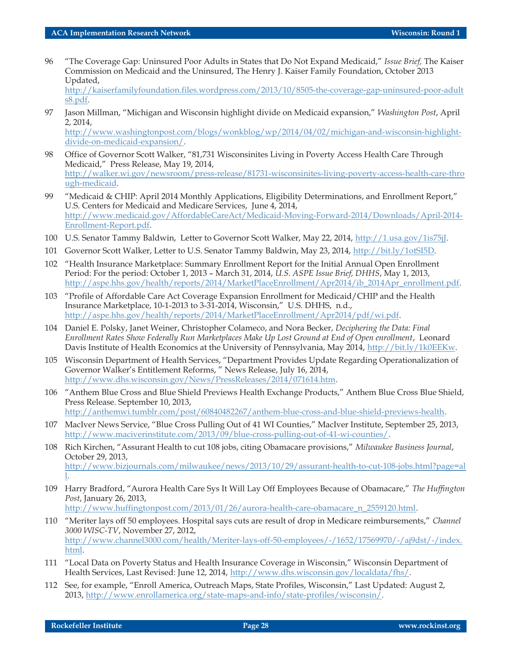96 "The Coverage Gap: Uninsured Poor Adults in States that Do Not Expand Medicaid," *Issue Brief,* The Kaiser Commission on Medicaid and the Uninsured, The Henry J. Kaiser Family Foundation, October 2013 Updated,

[http://kaiserfamilyfoundation.files.wordpress.com/2013/10/8505-the-coverage-gap-uninsured-poor-adult](http://kaiserfamilyfoundation.files.wordpress.com/2013/10/8505-the-coverage-gap-uninsured-poor-adults8.pdf) [s8.pdf.](http://kaiserfamilyfoundation.files.wordpress.com/2013/10/8505-the-coverage-gap-uninsured-poor-adults8.pdf)

97 Jason Millman, "Michigan and Wisconsin highlight divide on Medicaid expansion," *Washington Post*, April 2, 2014, [http://www.washingtonpost.com/blogs/wonkblog/wp/2014/04/02/michigan-and-wisconsin-highlight](http://www.washingtonpost.com/blogs/wonkblog/wp/2014/04/02/michigan-and-wisconsin-highlight-divide-on-medicaid-expansion/)[divide-on-medicaid-expansion/.](http://www.washingtonpost.com/blogs/wonkblog/wp/2014/04/02/michigan-and-wisconsin-highlight-divide-on-medicaid-expansion/)

98 Office of Governor Scott Walker, "81,731 Wisconsinites Living in Poverty Access Health Care Through Medicaid," Press Release, May 19, 2014, [http://walker.wi.gov/newsroom/press-release/81731-wisconsinites-living-poverty-access-health-care-thro](http://walker.wi.gov/newsroom/press-release/81731-wisconsinites-living-poverty-access-health-care-through-medicaid) [ugh-medicaid.](http://walker.wi.gov/newsroom/press-release/81731-wisconsinites-living-poverty-access-health-care-through-medicaid)

- 99 "Medicaid & CHIP: April 2014 Monthly Applications, Eligibility Determinations, and Enrollment Report," U.S. Centers for Medicaid and Medicare Services, June 4, 2014, [http://www.medicaid.gov/AffordableCareAct/Medicaid-Moving-Forward-2014/Downloads/April-2014-](http://www.medicaid.gov/AffordableCareAct/Medicaid-Moving-Forward-2014/Downloads/April-2014-Enrollment-Report.pdf) [Enrollment-Report.pdf.](http://www.medicaid.gov/AffordableCareAct/Medicaid-Moving-Forward-2014/Downloads/April-2014-Enrollment-Report.pdf)
- 100 U.S. Senator Tammy Baldwin, Letter to Governor Scott Walker, May 22, 2014, <http://1.usa.gov/1is75jJ>.
- 101 Governor Scott Walker, Letter to U.S. Senator Tammy Baldwin, May 23, 2014, <http://bit.ly/1otSI5D>.
- 102 "Health Insurance Marketplace: Summary Enrollment Report for the Initial Annual Open Enrollment Period: For the period: October 1, 2013 – March 31, 2014, *U.S. ASPE Issue Brief, DHHS*, May 1, 2013, [http://aspe.hhs.gov/health/reports/2014/MarketPlaceEnrollment/Apr2014/ib\\_2014Apr\\_enrollment.pdf.](http://aspe.hhs.gov/health/reports/2014/MarketPlaceEnrollment/Apr2014/ib_2014Apr_enrollment.pdf)
- 103 "Profile of Affordable Care Act Coverage Expansion Enrollment for Medicaid/CHIP and the Health Insurance Marketplace, 10-1-2013 to 3-31-2014, Wisconsin," U.S. DHHS, n.d., <http://aspe.hhs.gov/health/reports/2014/MarketPlaceEnrollment/Apr2014/pdf/wi.pdf>.
- 104 Daniel E. Polsky, Janet Weiner, Christopher Colameco, and Nora Becker, *Deciphering the Data: Final Enrollment Rates Show Federally Run Marketplaces Make Up Lost Ground at End of Open enrollment*, Leonard Davis Institute of Health Economics at the University of Pennsylvania, May 2014, [http://bit.ly/1k0EEKw.](http://bit.ly/1k0EEKw)
- 105 Wisconsin Department of Health Services, "Department Provides Update Regarding Operationalization of Governor Walker's Entitlement Reforms, " News Release, July 16, 2014, <http://www.dhs.wisconsin.gov/News/PressReleases/2014/071614.htm>.
- 106 "Anthem Blue Cross and Blue Shield Previews Health Exchange Products," Anthem Blue Cross Blue Shield, Press Release. September 10, 2013, [http://anthemwi.tumblr.com/post/60840482267/anthem-blue-cross-and-blue-shield-previews-health.](http://anthemwi.tumblr.com/post/60840482267/anthem-blue-cross-and-blue-shield-previews-health)
- 107 MacIver News Service, "Blue Cross Pulling Out of 41 WI Counties," MacIver Institute, September 25, 2013, [http://www.maciverinstitute.com/2013/09/blue-cross-pulling-out-of-41-wi-counties/.](http://www.maciverinstitute.com/2013/09/blue-cross-pulling-out-of-41-wi-counties/)
- 108 Rich Kirchen, "Assurant Health to cut 108 jobs, citing Obamacare provisions," *Milwaukee Business Journal*, October 29, 2013, [http://www.bizjournals.com/milwaukee/news/2013/10/29/assurant-health-to-cut-108-jobs.html?page=al](http://www.bizjournals.com/milwaukee/news/2013/10/29/assurant-health-to-cut-108-jobs.html?page=all) [l.](http://www.bizjournals.com/milwaukee/news/2013/10/29/assurant-health-to-cut-108-jobs.html?page=all)
- 109 Harry Bradford, "Aurora Health Care Sys It Will Lay Off Employees Because of Obamacare," *The Huffington Post*, January 26, 2013,

[http://www.huffingtonpost.com/2013/01/26/aurora-health-care-obamacare\\_n\\_2559120.html.](http://www.huffingtonpost.com/2013/01/26/aurora-health-care-obamacare_n_2559120.html)

- 110 "Meriter lays off 50 employees. Hospital says cuts are result of drop in Medicare reimbursements," *Channel 3000 WISC-TV*, November 27, 2012, [http://www.channel3000.com/health/Meriter-lays-off-50-employees/-/1652/17569970/-/aj9dst/-/index.](http://www.channel3000.com/health/Meriter-lays-off-50-employees/-/1652/17569970/-/aj9dst/-/index.html) [html](http://www.channel3000.com/health/Meriter-lays-off-50-employees/-/1652/17569970/-/aj9dst/-/index.html).
- 111 "Local Data on Poverty Status and Health Insurance Coverage in Wisconsin," Wisconsin Department of Health Services, Last Revised: June 12, 2014, [http://www.dhs.wisconsin.gov/localdata/fhs/.](http://www.dhs.wisconsin.gov/localdata/fhs/)
- 112 See, for example, "Enroll America, Outreach Maps, State Profiles, Wisconsin," Last Updated: August 2, 2013, [http://www.enrollamerica.org/state-maps-and-info/state-profiles/wisconsin/.](http://www.enrollamerica.org/state-maps-and-info/state-profiles/wisconsin/)